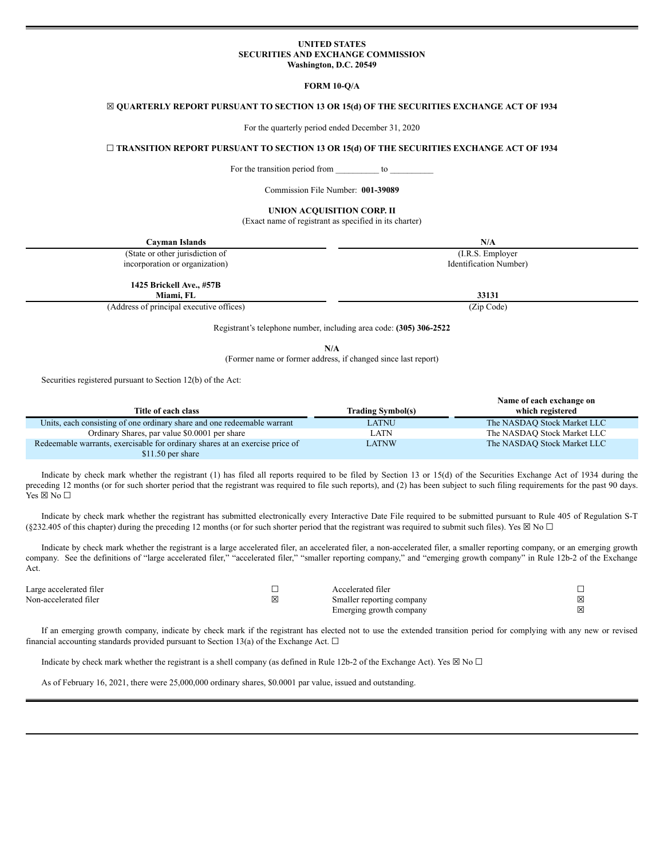### **UNITED STATES SECURITIES AND EXCHANGE COMMISSION Washington, D.C. 20549**

### **FORM 10-Q/A**

# ☒ **QUARTERLY REPORT PURSUANT TO SECTION 13 OR 15(d) OF THE SECURITIES EXCHANGE ACT OF 1934**

For the quarterly period ended December 31, 2020

### ☐ **TRANSITION REPORT PURSUANT TO SECTION 13 OR 15(d) OF THE SECURITIES EXCHANGE ACT OF 1934**

For the transition period from  $\_\_\_\_\_\_\_\$ to  $\_\_\_\$ 

Commission File Number: **001-39089**

#### **UNION ACQUISITION CORP. II**

(Exact name of registrant as specified in its charter)

| Cayman Islands                           | N/A                    |
|------------------------------------------|------------------------|
| (State or other jurisdiction of          | (I.R.S. Employer)      |
| incorporation or organization)           | Identification Number) |
| 1425 Brickell Ave., #57B<br>Miami. FL    | 33131                  |
| (Address of principal executive offices) | (Zip Code)             |

Registrant's telephone number, including area code: **(305) 306-2522**

**N/A**

(Former name or former address, if changed since last report)

Securities registered pursuant to Section 12(b) of the Act:

|                                                                              |                          | Name of each exchange on    |
|------------------------------------------------------------------------------|--------------------------|-----------------------------|
| Title of each class                                                          | <b>Trading Symbol(s)</b> | which registered            |
| Units, each consisting of one ordinary share and one redeemable warrant      | <b>LATNU</b>             | The NASDAQ Stock Market LLC |
| Ordinary Shares, par value \$0,0001 per share                                | LATN                     | The NASDAQ Stock Market LLC |
| Redeemable warrants, exercisable for ordinary shares at an exercise price of | <b>LATNW</b>             | The NASDAO Stock Market LLC |
| $$11.50$ per share                                                           |                          |                             |

Indicate by check mark whether the registrant (1) has filed all reports required to be filed by Section 13 or 15(d) of the Securities Exchange Act of 1934 during the preceding 12 months (or for such shorter period that the registrant was required to file such reports), and (2) has been subject to such filing requirements for the past 90 days. Yes  $\boxtimes$  No  $\square$ 

Indicate by check mark whether the registrant has submitted electronically every Interactive Date File required to be submitted pursuant to Rule 405 of Regulation S-T (§232.405 of this chapter) during the preceding 12 months (or for such shorter period that the registrant was required to submit such files). Yes  $\boxtimes$  No  $\Box$ 

Indicate by check mark whether the registrant is a large accelerated filer, an accelerated filer, a non-accelerated filer, a smaller reporting company, or an emerging growth company. See the definitions of "large accelerated filer," "accelerated filer," "smaller reporting company," and "emerging growth company" in Rule 12b-2 of the Exchange Act.

| Large accelerated filer | Accelerated filer         |  |
|-------------------------|---------------------------|--|
| Non-accelerated filer   | Smaller reporting company |  |
|                         | Emerging growth company   |  |

If an emerging growth company, indicate by check mark if the registrant has elected not to use the extended transition period for complying with any new or revised financial accounting standards provided pursuant to Section 13(a) of the Exchange Act.  $\Box$ 

Indicate by check mark whether the registrant is a shell company (as defined in Rule 12b-2 of the Exchange Act). Yes  $\boxtimes$  No  $\Box$ 

As of February 16, 2021, there were 25,000,000 ordinary shares, \$0.0001 par value, issued and outstanding.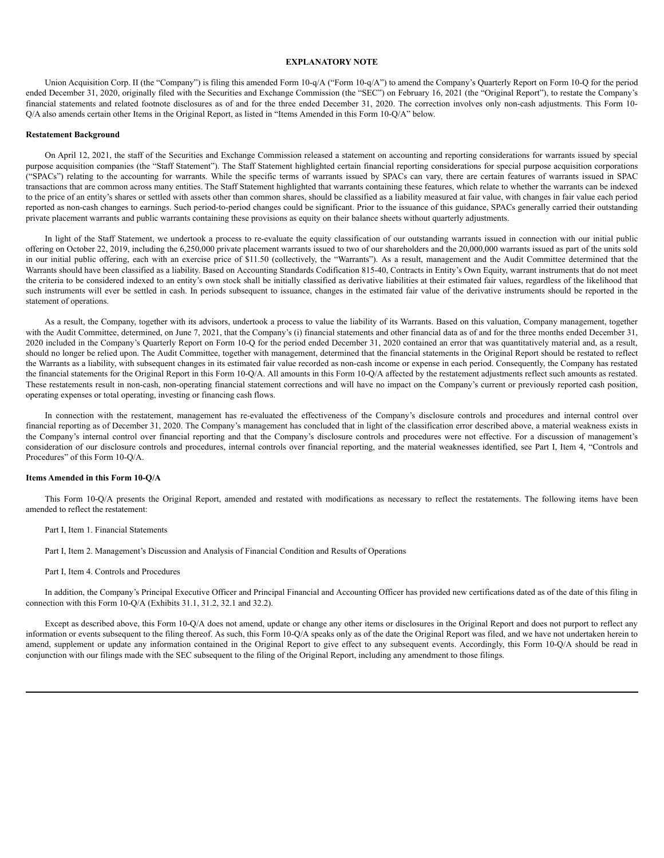### **EXPLANATORY NOTE**

Union Acquisition Corp. II (the "Company") is filing this amended Form 10-q/A ("Form 10-q/A") to amend the Company's Quarterly Report on Form 10-Q for the period ended December 31, 2020, originally filed with the Securities and Exchange Commission (the "SEC") on February 16, 2021 (the "Original Report"), to restate the Company's financial statements and related footnote disclosures as of and for the three ended December 31, 2020. The correction involves only non-cash adjustments. This Form 10- Q/A also amends certain other Items in the Original Report, as listed in "Items Amended in this Form 10-Q/A" below.

#### **Restatement Background**

On April 12, 2021, the staff of the Securities and Exchange Commission released a statement on accounting and reporting considerations for warrants issued by special purpose acquisition companies (the "Staff Statement"). The Staff Statement highlighted certain financial reporting considerations for special purpose acquisition corporations ("SPACs") relating to the accounting for warrants. While the specific terms of warrants issued by SPACs can vary, there are certain features of warrants issued in SPAC transactions that are common across many entities. The Staff Statement highlighted that warrants containing these features, which relate to whether the warrants can be indexed to the price of an entity's shares or settled with assets other than common shares, should be classified as a liability measured at fair value, with changes in fair value each period reported as non-cash changes to earnings. Such period-to-period changes could be significant. Prior to the issuance of this guidance, SPACs generally carried their outstanding private placement warrants and public warrants containing these provisions as equity on their balance sheets without quarterly adjustments.

In light of the Staff Statement, we undertook a process to re-evaluate the equity classification of our outstanding warrants issued in connection with our initial public offering on October 22, 2019, including the 6,250,000 private placement warrants issued to two of our shareholders and the 20,000,000 warrants issued as part of the units sold in our initial public offering, each with an exercise price of \$11.50 (collectively, the "Warrants"). As a result, management and the Audit Committee determined that the Warrants should have been classified as a liability. Based on Accounting Standards Codification 815-40, Contracts in Entity's Own Equity, warrant instruments that do not meet the criteria to be considered indexed to an entity's own stock shall be initially classified as derivative liabilities at their estimated fair values, regardless of the likelihood that such instruments will ever be settled in cash. In periods subsequent to issuance, changes in the estimated fair value of the derivative instruments should be reported in the statement of operations.

As a result, the Company, together with its advisors, undertook a process to value the liability of its Warrants. Based on this valuation, Company management, together with the Audit Committee, determined, on June 7, 2021, that the Company's (i) financial statements and other financial data as of and for the three months ended December 31, 2020 included in the Company's Quarterly Report on Form 10-Q for the period ended December 31, 2020 contained an error that was quantitatively material and, as a result, should no longer be relied upon. The Audit Committee, together with management, determined that the financial statements in the Original Report should be restated to reflect the Warrants as a liability, with subsequent changes in its estimated fair value recorded as non-cash income or expense in each period. Consequently, the Company has restated the financial statements for the Original Report in this Form 10-Q/A. All amounts in this Form 10-Q/A affected by the restatement adjustments reflect such amounts as restated. These restatements result in non-cash, non-operating financial statement corrections and will have no impact on the Company's current or previously reported cash position, operating expenses or total operating, investing or financing cash flows.

In connection with the restatement, management has re-evaluated the effectiveness of the Company's disclosure controls and procedures and internal control over financial reporting as of December 31, 2020. The Company's management has concluded that in light of the classification error described above, a material weakness exists in the Company's internal control over financial reporting and that the Company's disclosure controls and procedures were not effective. For a discussion of management's consideration of our disclosure controls and procedures, internal controls over financial reporting, and the material weaknesses identified, see Part I, Item 4, "Controls and Procedures" of this Form 10-Q/A.

### **Items Amended in this Form 10-Q/A**

This Form 10-Q/A presents the Original Report, amended and restated with modifications as necessary to reflect the restatements. The following items have been amended to reflect the restatement:

Part I, Item 1. Financial Statements

Part I, Item 2. Management's Discussion and Analysis of Financial Condition and Results of Operations

Part I, Item 4. Controls and Procedures

In addition, the Company's Principal Executive Officer and Principal Financial and Accounting Officer has provided new certifications dated as of the date of this filing in connection with this Form 10-Q/A (Exhibits 31.1, 31.2, 32.1 and 32.2).

Except as described above, this Form 10-Q/A does not amend, update or change any other items or disclosures in the Original Report and does not purport to reflect any information or events subsequent to the filing thereof. As such, this Form 10-Q/A speaks only as of the date the Original Report was filed, and we have not undertaken herein to amend, supplement or update any information contained in the Original Report to give effect to any subsequent events. Accordingly, this Form 10-Q/A should be read in conjunction with our filings made with the SEC subsequent to the filing of the Original Report, including any amendment to those filings.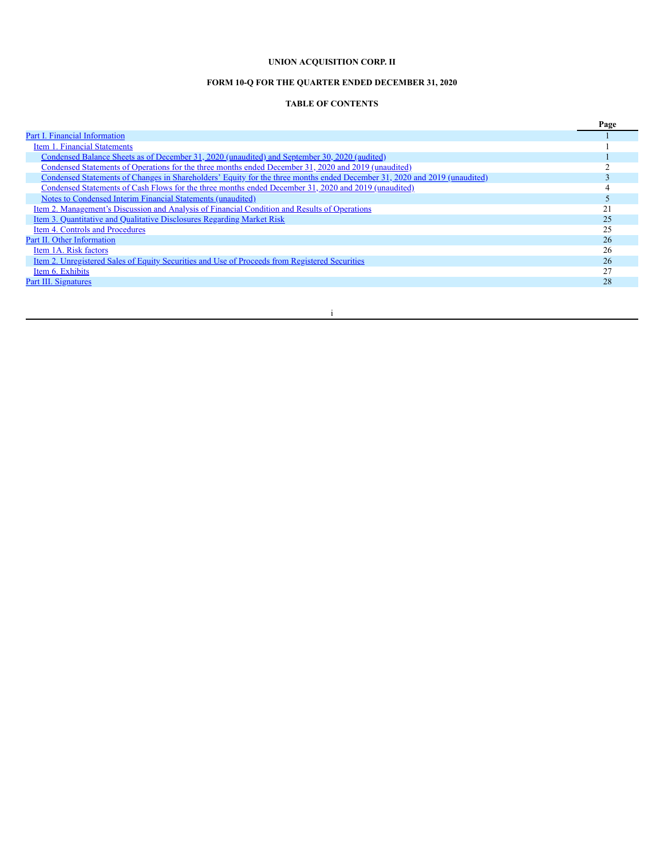# **UNION ACQUISITION CORP. II**

# **FORM 10-Q FOR THE QUARTER ENDED DECEMBER 31, 2020**

# **TABLE OF CONTENTS**

|                                                                                                                           | Page |
|---------------------------------------------------------------------------------------------------------------------------|------|
| Part I. Financial Information                                                                                             |      |
| Item 1. Financial Statements                                                                                              |      |
| Condensed Balance Sheets as of December 31, 2020 (unaudited) and September 30, 2020 (audited)                             |      |
| Condensed Statements of Operations for the three months ended December 31, 2020 and 2019 (unaudited)                      |      |
| Condensed Statements of Changes in Shareholders' Equity for the three months ended December 31, 2020 and 2019 (unaudited) |      |
| Condensed Statements of Cash Flows for the three months ended December 31, 2020 and 2019 (unaudited)                      |      |
| Notes to Condensed Interim Financial Statements (unaudited)                                                               |      |
| Item 2. Management's Discussion and Analysis of Financial Condition and Results of Operations                             | 21   |
| <u>Item 3. Quantitative and Qualitative Disclosures Regarding Market Risk</u>                                             | 25   |
| Item 4. Controls and Procedures                                                                                           | 25   |
| Part II. Other Information                                                                                                | 26   |
| Item 1A. Risk factors                                                                                                     | 26   |
| Item 2. Unregistered Sales of Equity Securities and Use of Proceeds from Registered Securities                            | 26   |
| Item 6. Exhibits                                                                                                          | 27   |
| Part III. Signatures                                                                                                      | 28   |
|                                                                                                                           |      |

i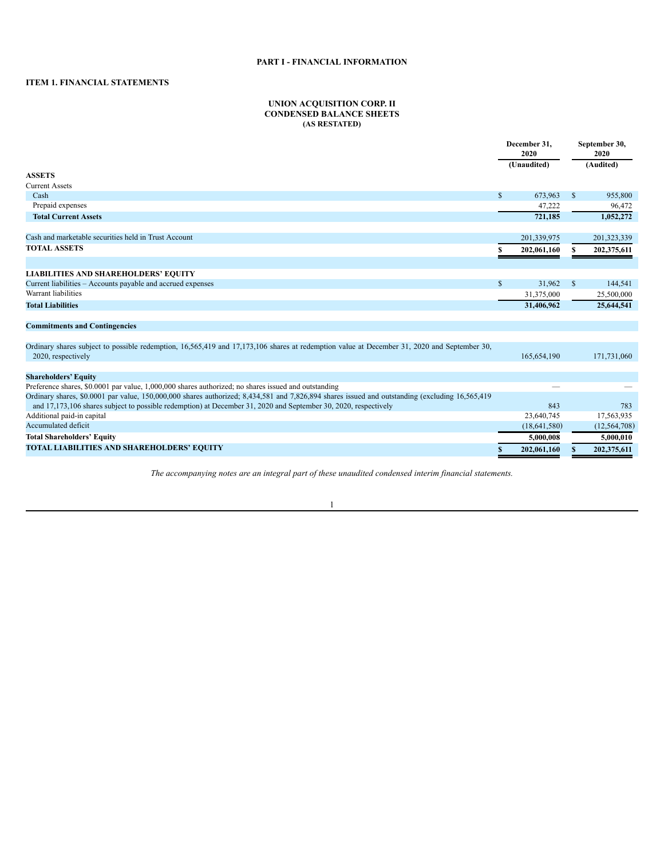# **PART I - FINANCIAL INFORMATION**

# <span id="page-3-1"></span><span id="page-3-0"></span>**ITEM 1. FINANCIAL STATEMENTS**

## **UNION ACQUISITION CORP. II CONDENSED BALANCE SHEETS (AS RESTATED)**

<span id="page-3-2"></span>

|                                                                                                                                                                                                                                                                    |              | December 31.<br>2020<br>(Unaudited) |               | September 30,<br>2020<br>(Audited) |
|--------------------------------------------------------------------------------------------------------------------------------------------------------------------------------------------------------------------------------------------------------------------|--------------|-------------------------------------|---------------|------------------------------------|
| <b>ASSETS</b>                                                                                                                                                                                                                                                      |              |                                     |               |                                    |
| <b>Current Assets</b>                                                                                                                                                                                                                                              |              |                                     |               |                                    |
| Cash                                                                                                                                                                                                                                                               | $\mathbb{S}$ | 673.963                             | \$            | 955,800                            |
| Prepaid expenses                                                                                                                                                                                                                                                   |              | 47,222                              |               | 96,472                             |
| <b>Total Current Assets</b>                                                                                                                                                                                                                                        |              | 721,185                             |               | 1,052,272                          |
| Cash and marketable securities held in Trust Account                                                                                                                                                                                                               |              | 201,339,975                         |               | 201,323,339                        |
| <b>TOTAL ASSETS</b>                                                                                                                                                                                                                                                | S            | 202,061,160                         | S             | 202,375,611                        |
|                                                                                                                                                                                                                                                                    |              |                                     |               |                                    |
| <b>LIABILITIES AND SHAREHOLDERS' EQUITY</b><br>Current liabilities - Accounts payable and accrued expenses                                                                                                                                                         | $\mathbb{S}$ | 31,962                              |               | 144,541                            |
| Warrant liabilities                                                                                                                                                                                                                                                |              |                                     | <sup>\$</sup> |                                    |
| <b>Total Liabilities</b>                                                                                                                                                                                                                                           |              | 31,375,000<br>31,406,962            |               | 25,500,000<br>25,644,541           |
| <b>Commitments and Contingencies</b>                                                                                                                                                                                                                               |              |                                     |               |                                    |
| Ordinary shares subject to possible redemption, 16,565,419 and 17,173,106 shares at redemption value at December 31, 2020 and September 30,<br>2020, respectively                                                                                                  |              | 165,654,190                         |               | 171,731,060                        |
| <b>Shareholders' Equity</b>                                                                                                                                                                                                                                        |              |                                     |               |                                    |
| Preference shares, \$0,0001 par value, 1,000,000 shares authorized; no shares issued and outstanding                                                                                                                                                               |              |                                     |               |                                    |
| Ordinary shares, \$0,0001 par value, 150,000,000 shares authorized; 8,434,581 and 7,826,894 shares issued and outstanding (excluding 16,565,419<br>and 17,173,106 shares subject to possible redemption) at December 31, 2020 and September 30, 2020, respectively |              | 843                                 |               | 783                                |
| Additional paid-in capital                                                                                                                                                                                                                                         |              | 23,640,745                          |               | 17,563,935                         |
| Accumulated deficit                                                                                                                                                                                                                                                |              | (18, 641, 580)                      |               | (12, 564, 708)                     |
| <b>Total Shareholders' Equity</b>                                                                                                                                                                                                                                  |              | 5,000,008                           |               | 5.000.010                          |
| TOTAL LIABILITIES AND SHAREHOLDERS' EQUITY                                                                                                                                                                                                                         |              | 202,061,160                         |               | 202,375,611                        |

*The accompanying notes are an integral part of these unaudited condensed interim financial statements.*

1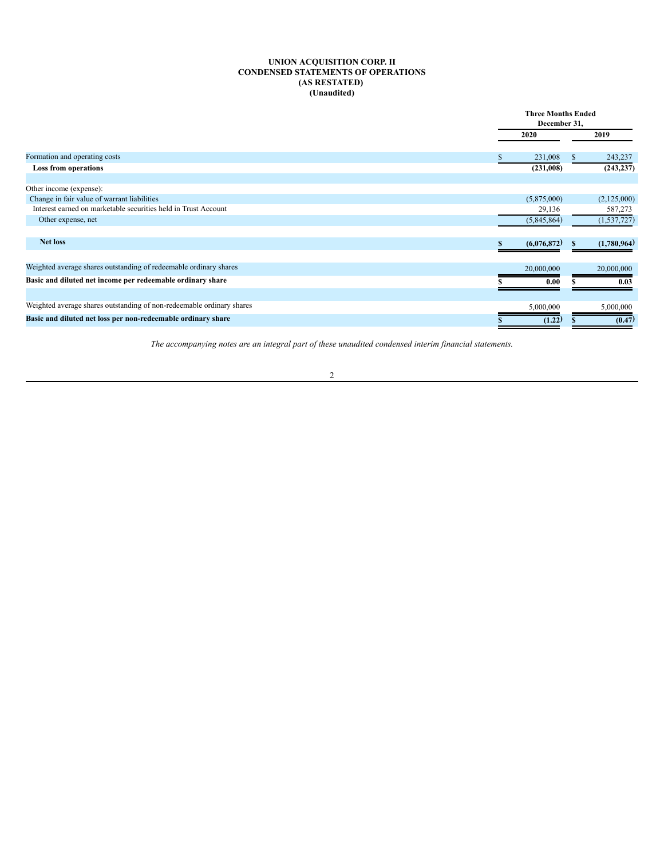### **UNION ACQUISITION CORP. II CONDENSED STATEMENTS OF OPERATIONS (AS RESTATED) (Unaudited)**

<span id="page-4-0"></span>

|                                                                       |              | <b>Three Months Ended</b><br>December 31, |             |  |  |
|-----------------------------------------------------------------------|--------------|-------------------------------------------|-------------|--|--|
|                                                                       | 2020         | 2019                                      |             |  |  |
| Formation and operating costs                                         | 231,008<br>æ | ъ                                         | 243,237     |  |  |
| Loss from operations                                                  | (231,008)    |                                           | (243, 237)  |  |  |
|                                                                       |              |                                           |             |  |  |
| Other income (expense):                                               |              |                                           |             |  |  |
| Change in fair value of warrant liabilities                           | (5,875,000)  |                                           | (2,125,000) |  |  |
| Interest earned on marketable securities held in Trust Account        | 29,136       |                                           | 587,273     |  |  |
| Other expense, net                                                    | (5,845,864)  | (1, 537, 727)                             |             |  |  |
|                                                                       |              |                                           |             |  |  |
| <b>Net loss</b>                                                       | (6,076,872)  | (1,780,964)<br>S.                         |             |  |  |
|                                                                       |              |                                           |             |  |  |
| Weighted average shares outstanding of redeemable ordinary shares     | 20,000,000   | 20,000,000                                |             |  |  |
| Basic and diluted net income per redeemable ordinary share            | 0.00         |                                           | 0.03        |  |  |
|                                                                       |              |                                           |             |  |  |
| Weighted average shares outstanding of non-redeemable ordinary shares | 5,000,000    |                                           | 5,000,000   |  |  |
| Basic and diluted net loss per non-redeemable ordinary share          | (1.22)       |                                           | (0.47)      |  |  |

*The accompanying notes are an integral part of these unaudited condensed interim financial statements.*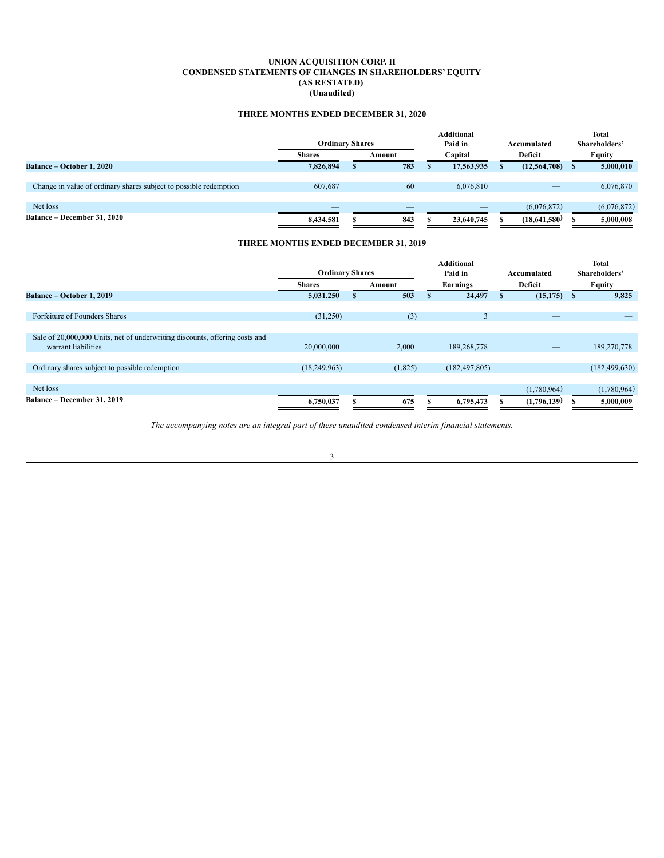# **UNION ACQUISITION CORP. II CONDENSED STATEMENTS OF CHANGES IN SHAREHOLDERS' EQUITY (AS RESTATED) (Unaudited)**

# **THREE MONTHS ENDED DECEMBER 31, 2020**

<span id="page-5-0"></span>

|                                                                   |                        |   |        | <b>Additional</b> |             |                | <b>Total</b>  |
|-------------------------------------------------------------------|------------------------|---|--------|-------------------|-------------|----------------|---------------|
|                                                                   | <b>Ordinary Shares</b> |   |        | Paid in           | Accumulated |                | Shareholders' |
|                                                                   | <b>Shares</b>          |   | Amount | Capital           |             | Deficit        | <b>Equity</b> |
| <b>Balance – October 1, 2020</b>                                  | 7,826,894              | ъ | 783    | 17,563,935        |             | (12, 564, 708) | 5,000,010     |
|                                                                   |                        |   |        |                   |             |                |               |
| Change in value of ordinary shares subject to possible redemption | 607,687                |   | 60     | 6,076,810         |             |                | 6,076,870     |
|                                                                   |                        |   |        |                   |             |                |               |
| Net loss                                                          |                        |   |        |                   |             | (6,076,872)    | (6,076,872)   |
| <b>Balance – December 31, 2020</b>                                | 8,434,581              |   | 843    | 23,640,745        |             | (18,641,580)   | 5,000,008     |

### **THREE MONTHS ENDED DECEMBER 31, 2019**

|                                                                             | <b>Ordinary Shares</b> |  |         |  |                 |  | <b>Additional</b><br>Paid in |                 |  |  |  |  |  |  |  |  |  |  |  |  |  |  |  |  | Accumulated | Total<br>Shareholders' |
|-----------------------------------------------------------------------------|------------------------|--|---------|--|-----------------|--|------------------------------|-----------------|--|--|--|--|--|--|--|--|--|--|--|--|--|--|--|--|-------------|------------------------|
|                                                                             | <b>Shares</b>          |  | Amount  |  | Earnings        |  | Deficit                      | Equity          |  |  |  |  |  |  |  |  |  |  |  |  |  |  |  |  |             |                        |
| Balance - October 1, 2019                                                   | 5,031,250              |  | 503     |  | 24,497          |  | (15, 175)                    | 9,825           |  |  |  |  |  |  |  |  |  |  |  |  |  |  |  |  |             |                        |
|                                                                             |                        |  |         |  |                 |  |                              |                 |  |  |  |  |  |  |  |  |  |  |  |  |  |  |  |  |             |                        |
| Forfeiture of Founders Shares                                               | (31,250)               |  | (3)     |  | 3               |  |                              |                 |  |  |  |  |  |  |  |  |  |  |  |  |  |  |  |  |             |                        |
|                                                                             |                        |  |         |  |                 |  |                              |                 |  |  |  |  |  |  |  |  |  |  |  |  |  |  |  |  |             |                        |
| Sale of 20,000,000 Units, net of underwriting discounts, offering costs and |                        |  |         |  |                 |  |                              |                 |  |  |  |  |  |  |  |  |  |  |  |  |  |  |  |  |             |                        |
| warrant liabilities                                                         | 20,000,000             |  | 2,000   |  | 189,268,778     |  |                              | 189,270,778     |  |  |  |  |  |  |  |  |  |  |  |  |  |  |  |  |             |                        |
|                                                                             |                        |  |         |  |                 |  |                              |                 |  |  |  |  |  |  |  |  |  |  |  |  |  |  |  |  |             |                        |
| Ordinary shares subject to possible redemption                              | (18, 249, 963)         |  | (1,825) |  | (182, 497, 805) |  |                              | (182, 499, 630) |  |  |  |  |  |  |  |  |  |  |  |  |  |  |  |  |             |                        |
|                                                                             |                        |  |         |  |                 |  |                              |                 |  |  |  |  |  |  |  |  |  |  |  |  |  |  |  |  |             |                        |
| Net loss                                                                    |                        |  |         |  |                 |  | (1,780,964)                  | (1,780,964)     |  |  |  |  |  |  |  |  |  |  |  |  |  |  |  |  |             |                        |
| Balance - December 31, 2019                                                 | 6,750,037              |  | 675     |  | 6,795,473       |  | (1,796,139)                  | 5,000,009       |  |  |  |  |  |  |  |  |  |  |  |  |  |  |  |  |             |                        |

*The accompanying notes are an integral part of these unaudited condensed interim financial statements.*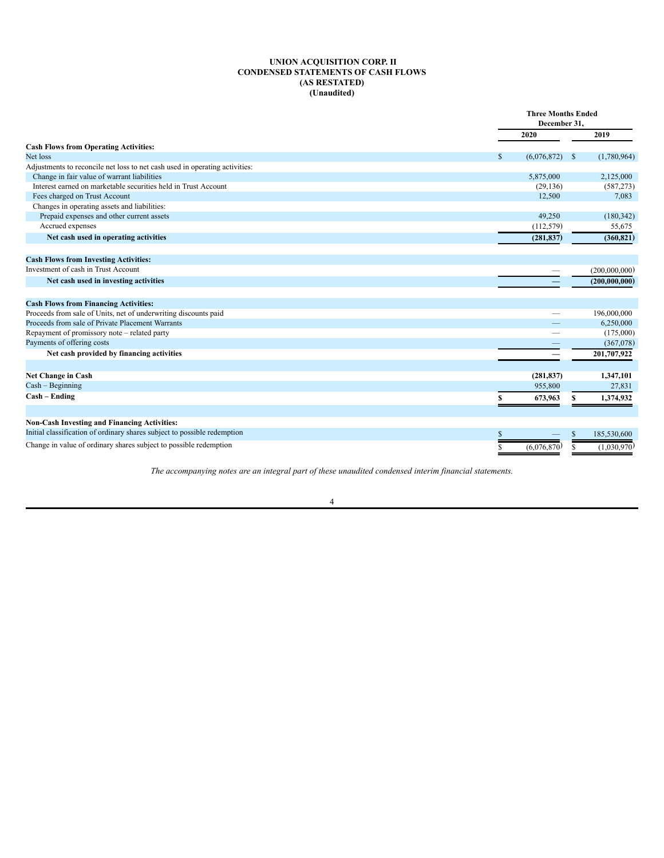## **UNION ACQUISITION CORP. II CONDENSED STATEMENTS OF CASH FLOWS (AS RESTATED) (Unaudited)**

<span id="page-6-0"></span>

|                                                                             |                             | <b>Three Months Ended</b><br>December 31, |               |  |
|-----------------------------------------------------------------------------|-----------------------------|-------------------------------------------|---------------|--|
|                                                                             | 2020                        |                                           | 2019          |  |
| <b>Cash Flows from Operating Activities:</b>                                |                             |                                           |               |  |
| Net loss                                                                    | $\mathbb{S}$<br>(6,076,872) | -S                                        | (1,780,964)   |  |
| Adjustments to reconcile net loss to net cash used in operating activities: |                             |                                           |               |  |
| Change in fair value of warrant liabilities                                 | 5,875,000                   |                                           | 2,125,000     |  |
| Interest earned on marketable securities held in Trust Account              | (29, 136)                   |                                           | (587, 273)    |  |
| Fees charged on Trust Account                                               | 12,500                      |                                           | 7,083         |  |
| Changes in operating assets and liabilities:                                |                             |                                           |               |  |
| Prepaid expenses and other current assets                                   | 49,250                      |                                           | (180, 342)    |  |
| Accrued expenses                                                            | (112, 579)                  |                                           | 55,675        |  |
| Net cash used in operating activities                                       | (281, 837)                  |                                           | (360, 821)    |  |
| <b>Cash Flows from Investing Activities:</b>                                |                             |                                           |               |  |
| Investment of cash in Trust Account                                         |                             |                                           | (200,000,000) |  |
| Net cash used in investing activities                                       |                             |                                           | (200,000,000) |  |
| <b>Cash Flows from Financing Activities:</b>                                |                             |                                           |               |  |
| Proceeds from sale of Units, net of underwriting discounts paid             |                             |                                           | 196,000,000   |  |
| Proceeds from sale of Private Placement Warrants                            |                             |                                           | 6,250,000     |  |
| Repayment of promissory note – related party                                |                             |                                           | (175,000)     |  |
| Payments of offering costs                                                  |                             |                                           | (367,078)     |  |
| Net cash provided by financing activities                                   |                             |                                           | 201,707,922   |  |
| Net Change in Cash                                                          | (281, 837)                  |                                           | 1,347,101     |  |
| $Cash - Beginning$                                                          | 955,800                     |                                           | 27,831        |  |
| Cash - Ending                                                               | 673,963                     |                                           | 1,374,932     |  |
|                                                                             |                             |                                           |               |  |
| <b>Non-Cash Investing and Financing Activities:</b>                         |                             |                                           |               |  |
| Initial classification of ordinary shares subject to possible redemption    | S                           | S                                         | 185,530,600   |  |
| Change in value of ordinary shares subject to possible redemption           | (6,076,870)                 | S                                         | (1,030,970)   |  |

*The accompanying notes are an integral part of these unaudited condensed interim financial statements.*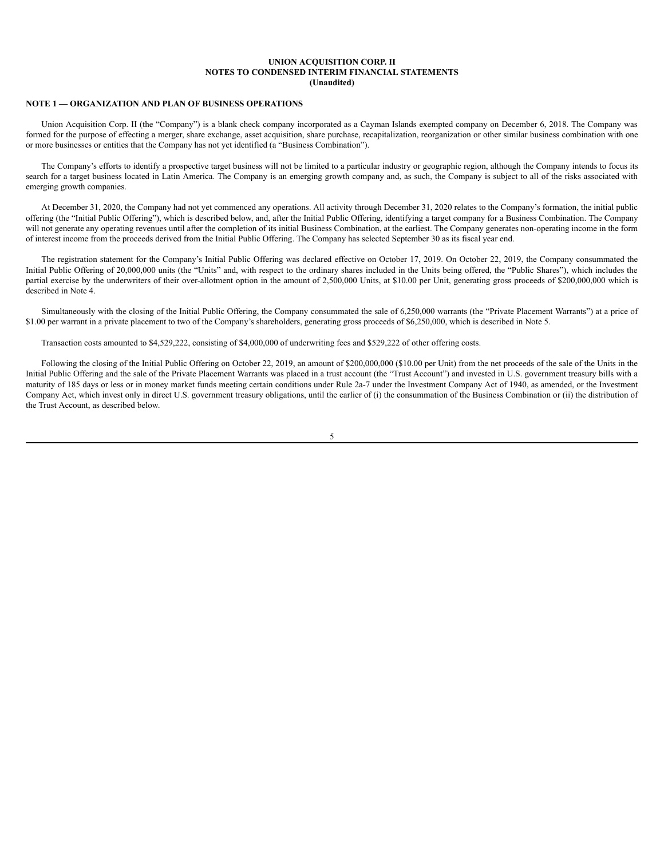### <span id="page-7-0"></span>**NOTE 1 — ORGANIZATION AND PLAN OF BUSINESS OPERATIONS**

Union Acquisition Corp. II (the "Company") is a blank check company incorporated as a Cayman Islands exempted company on December 6, 2018. The Company was formed for the purpose of effecting a merger, share exchange, asset acquisition, share purchase, recapitalization, reorganization or other similar business combination with one or more businesses or entities that the Company has not yet identified (a "Business Combination").

The Company's efforts to identify a prospective target business will not be limited to a particular industry or geographic region, although the Company intends to focus its search for a target business located in Latin America. The Company is an emerging growth company and, as such, the Company is subject to all of the risks associated with emerging growth companies.

At December 31, 2020, the Company had not yet commenced any operations. All activity through December 31, 2020 relates to the Company's formation, the initial public offering (the "Initial Public Offering"), which is described below, and, after the Initial Public Offering, identifying a target company for a Business Combination. The Company will not generate any operating revenues until after the completion of its initial Business Combination, at the earliest. The Company generates non-operating income in the form of interest income from the proceeds derived from the Initial Public Offering. The Company has selected September 30 as its fiscal year end.

The registration statement for the Company's Initial Public Offering was declared effective on October 17, 2019. On October 22, 2019, the Company consummated the Initial Public Offering of 20,000,000 units (the "Units" and, with respect to the ordinary shares included in the Units being offered, the "Public Shares"), which includes the partial exercise by the underwriters of their over-allotment option in the amount of 2,500,000 Units, at \$10.00 per Unit, generating gross proceeds of \$200,000,000 which is described in Note 4.

Simultaneously with the closing of the Initial Public Offering, the Company consummated the sale of 6,250,000 warrants (the "Private Placement Warrants") at a price of \$1.00 per warrant in a private placement to two of the Company's shareholders, generating gross proceeds of \$6,250,000, which is described in Note 5.

Transaction costs amounted to \$4,529,222, consisting of \$4,000,000 of underwriting fees and \$529,222 of other offering costs.

Following the closing of the Initial Public Offering on October 22, 2019, an amount of \$200,000,000 (\$10.00 per Unit) from the net proceeds of the sale of the Units in the Initial Public Offering and the sale of the Private Placement Warrants was placed in a trust account (the "Trust Account") and invested in U.S. government treasury bills with a maturity of 185 days or less or in money market funds meeting certain conditions under Rule 2a-7 under the Investment Company Act of 1940, as amended, or the Investment Company Act, which invest only in direct U.S. government treasury obligations, until the earlier of (i) the consummation of the Business Combination or (ii) the distribution of the Trust Account, as described below.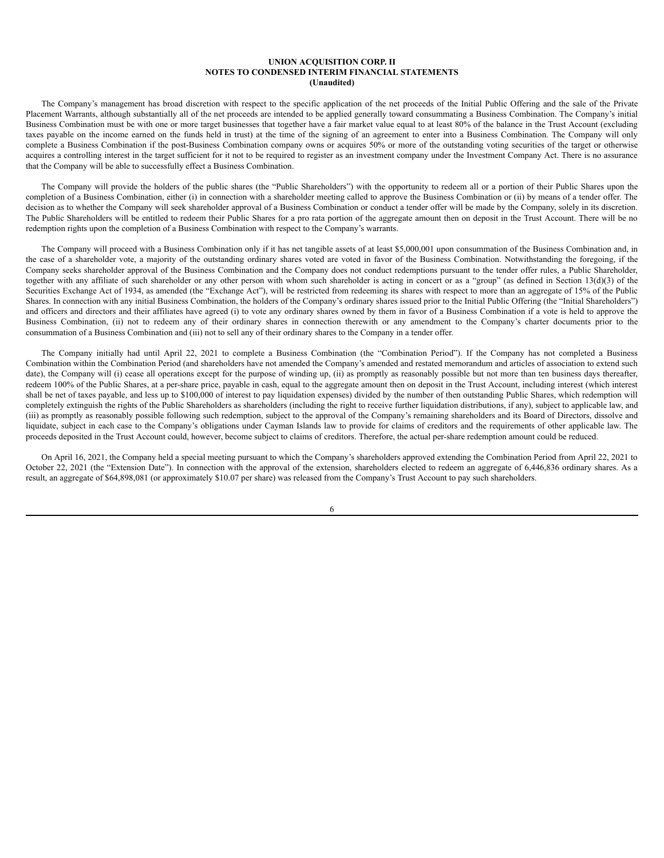The Company's management has broad discretion with respect to the specific application of the net proceeds of the Initial Public Offering and the sale of the Private Placement Warrants, although substantially all of the net proceeds are intended to be applied generally toward consummating a Business Combination. The Company's initial Business Combination must be with one or more target businesses that together have a fair market value equal to at least 80% of the balance in the Trust Account (excluding taxes payable on the income earned on the funds held in trust) at the time of the signing of an agreement to enter into a Business Combination. The Company will only complete a Business Combination if the post-Business Combination company owns or acquires 50% or more of the outstanding voting securities of the target or otherwise acquires a controlling interest in the target sufficient for it not to be required to register as an investment company under the Investment Company Act. There is no assurance that the Company will be able to successfully effect a Business Combination.

The Company will provide the holders of the public shares (the "Public Shareholders") with the opportunity to redeem all or a portion of their Public Shares upon the completion of a Business Combination, either (i) in connection with a shareholder meeting called to approve the Business Combination or (ii) by means of a tender offer. The decision as to whether the Company will seek shareholder approval of a Business Combination or conduct a tender offer will be made by the Company, solely in its discretion. The Public Shareholders will be entitled to redeem their Public Shares for a pro rata portion of the aggregate amount then on deposit in the Trust Account. There will be no redemption rights upon the completion of a Business Combination with respect to the Company's warrants.

The Company will proceed with a Business Combination only if it has net tangible assets of at least \$5,000,001 upon consummation of the Business Combination and, in the case of a shareholder vote, a majority of the outstanding ordinary shares voted are voted in favor of the Business Combination. Notwithstanding the foregoing, if the Company seeks shareholder approval of the Business Combination and the Company does not conduct redemptions pursuant to the tender offer rules, a Public Shareholder, together with any affiliate of such shareholder or any other person with whom such shareholder is acting in concert or as a "group" (as defined in Section 13(d)(3) of the Securities Exchange Act of 1934, as amended (the "Exchange Act"), will be restricted from redeeming its shares with respect to more than an aggregate of 15% of the Public Shares. In connection with any initial Business Combination, the holders of the Company's ordinary shares issued prior to the Initial Public Offering (the "Initial Shareholders") and officers and directors and their affiliates have agreed (i) to vote any ordinary shares owned by them in favor of a Business Combination if a vote is held to approve the Business Combination, (ii) not to redeem any of their ordinary shares in connection therewith or any amendment to the Company's charter documents prior to the consummation of a Business Combination and (iii) not to sell any of their ordinary shares to the Company in a tender offer.

The Company initially had until April 22, 2021 to complete a Business Combination (the "Combination Period"). If the Company has not completed a Business Combination within the Combination Period (and shareholders have not amended the Company's amended and restated memorandum and articles of association to extend such date), the Company will (i) cease all operations except for the purpose of winding up, (ii) as promptly as reasonably possible but not more than ten business days thereafter, redeem 100% of the Public Shares, at a per-share price, payable in cash, equal to the aggregate amount then on deposit in the Trust Account, including interest (which interest shall be net of taxes payable, and less up to \$100,000 of interest to pay liquidation expenses) divided by the number of then outstanding Public Shares, which redemption will completely extinguish the rights of the Public Shareholders as shareholders (including the right to receive further liquidation distributions, if any), subject to applicable law, and (iii) as promptly as reasonably possible following such redemption, subject to the approval of the Company's remaining shareholders and its Board of Directors, dissolve and liquidate, subject in each case to the Company's obligations under Cayman Islands law to provide for claims of creditors and the requirements of other applicable law. The proceeds deposited in the Trust Account could, however, become subject to claims of creditors. Therefore, the actual per-share redemption amount could be reduced.

On April 16, 2021, the Company held a special meeting pursuant to which the Company's shareholders approved extending the Combination Period from April 22, 2021 to October 22, 2021 (the "Extension Date"). In connection with the approval of the extension, shareholders elected to redeem an aggregate of 6,446,836 ordinary shares. As a result, an aggregate of \$64,898,081 (or approximately \$10.07 per share) was released from the Company's Trust Account to pay such shareholders.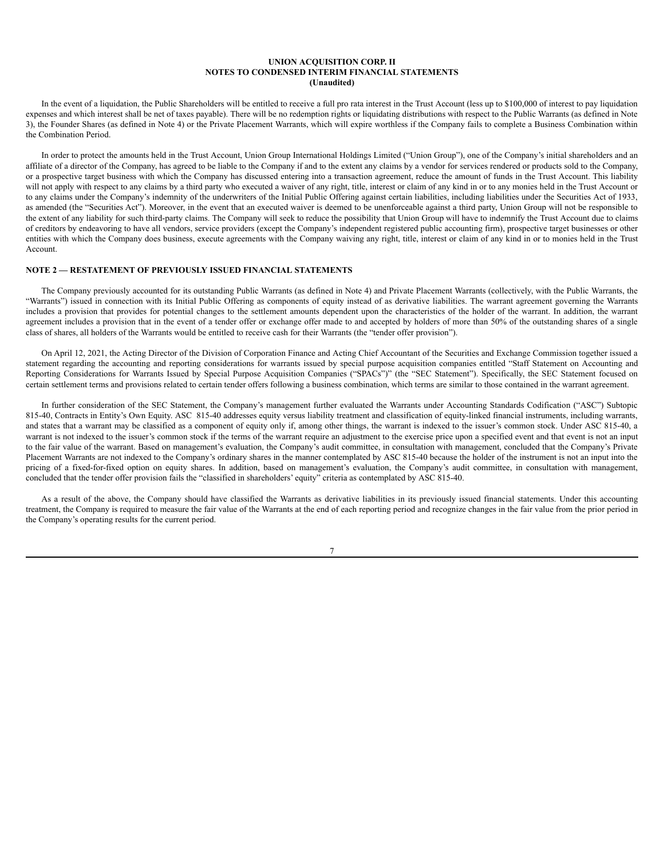In the event of a liquidation, the Public Shareholders will be entitled to receive a full pro rata interest in the Trust Account (less up to \$100,000 of interest to pay liquidation expenses and which interest shall be net of taxes payable). There will be no redemption rights or liquidating distributions with respect to the Public Warrants (as defined in Note 3), the Founder Shares (as defined in Note 4) or the Private Placement Warrants, which will expire worthless if the Company fails to complete a Business Combination within the Combination Period.

In order to protect the amounts held in the Trust Account, Union Group International Holdings Limited ("Union Group"), one of the Company's initial shareholders and an affiliate of a director of the Company, has agreed to be liable to the Company if and to the extent any claims by a vendor for services rendered or products sold to the Company, or a prospective target business with which the Company has discussed entering into a transaction agreement, reduce the amount of funds in the Trust Account. This liability will not apply with respect to any claims by a third party who executed a waiver of any right, title, interest or claim of any kind in or to any monies held in the Trust Account or to any claims under the Company's indemnity of the underwriters of the Initial Public Offering against certain liabilities, including liabilities under the Securities Act of 1933, as amended (the "Securities Act"). Moreover, in the event that an executed waiver is deemed to be unenforceable against a third party, Union Group will not be responsible to the extent of any liability for such third-party claims. The Company will seek to reduce the possibility that Union Group will have to indemnify the Trust Account due to claims of creditors by endeavoring to have all vendors, service providers (except the Company's independent registered public accounting firm), prospective target businesses or other entities with which the Company does business, execute agreements with the Company waiving any right, title, interest or claim of any kind in or to monies held in the Trust Account.

# **NOTE 2 — RESTATEMENT OF PREVIOUSLY ISSUED FINANCIAL STATEMENTS**

The Company previously accounted for its outstanding Public Warrants (as defined in Note 4) and Private Placement Warrants (collectively, with the Public Warrants, the "Warrants") issued in connection with its Initial Public Offering as components of equity instead of as derivative liabilities. The warrant agreement governing the Warrants includes a provision that provides for potential changes to the settlement amounts dependent upon the characteristics of the holder of the warrant. In addition, the warrant agreement includes a provision that in the event of a tender offer or exchange offer made to and accepted by holders of more than 50% of the outstanding shares of a single class of shares, all holders of the Warrants would be entitled to receive cash for their Warrants (the "tender offer provision").

On April 12, 2021, the Acting Director of the Division of Corporation Finance and Acting Chief Accountant of the Securities and Exchange Commission together issued a statement regarding the accounting and reporting considerations for warrants issued by special purpose acquisition companies entitled "Staff Statement on Accounting and Reporting Considerations for Warrants Issued by Special Purpose Acquisition Companies ("SPACs")" (the "SEC Statement"). Specifically, the SEC Statement focused on certain settlement terms and provisions related to certain tender offers following a business combination, which terms are similar to those contained in the warrant agreement.

In further consideration of the SEC Statement, the Company's management further evaluated the Warrants under Accounting Standards Codification ("ASC") Subtopic 815-40, Contracts in Entity's Own Equity. ASC 815-40 addresses equity versus liability treatment and classification of equity-linked financial instruments, including warrants, and states that a warrant may be classified as a component of equity only if, among other things, the warrant is indexed to the issuer's common stock. Under ASC 815-40, a warrant is not indexed to the issuer's common stock if the terms of the warrant require an adjustment to the exercise price upon a specified event and that event is not an input to the fair value of the warrant. Based on management's evaluation, the Company's audit committee, in consultation with management, concluded that the Company's Private Placement Warrants are not indexed to the Company's ordinary shares in the manner contemplated by ASC 815-40 because the holder of the instrument is not an input into the pricing of a fixed-for-fixed option on equity shares. In addition, based on management's evaluation, the Company's audit committee, in consultation with management, concluded that the tender offer provision fails the "classified in shareholders' equity" criteria as contemplated by ASC 815-40.

As a result of the above, the Company should have classified the Warrants as derivative liabilities in its previously issued financial statements. Under this accounting treatment, the Company is required to measure the fair value of the Warrants at the end of each reporting period and recognize changes in the fair value from the prior period in the Company's operating results for the current period.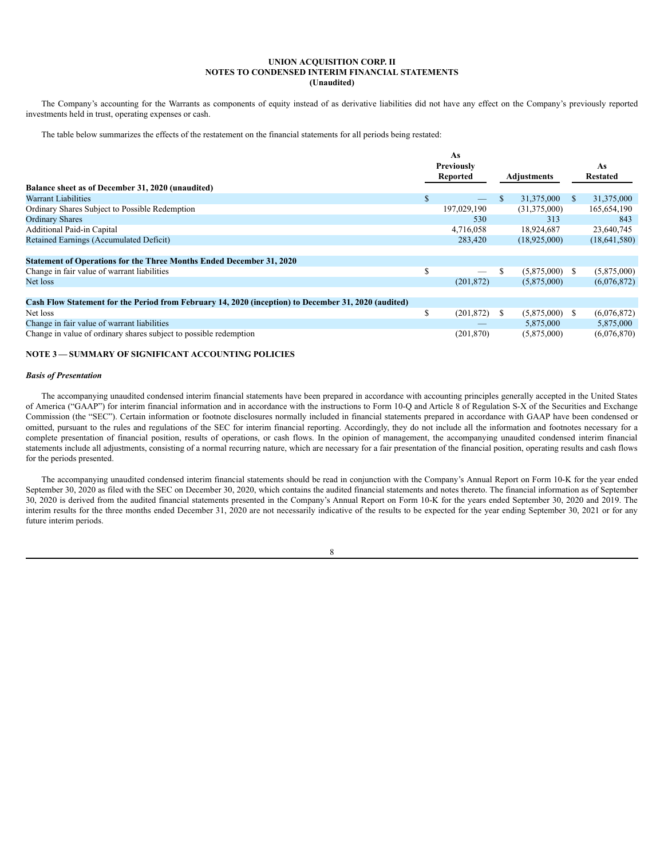The Company's accounting for the Warrants as components of equity instead of as derivative liabilities did not have any effect on the Company's previously reported investments held in trust, operating expenses or cash.

The table below summarizes the effects of the restatement on the financial statements for all periods being restated:

|                                                                                                      | As                |                                 |   |                    |    |                 |
|------------------------------------------------------------------------------------------------------|-------------------|---------------------------------|---|--------------------|----|-----------------|
|                                                                                                      | <b>Previously</b> |                                 |   |                    |    | As              |
|                                                                                                      |                   | Reported                        |   | <b>Adjustments</b> |    | <b>Restated</b> |
| Balance sheet as of December 31, 2020 (unaudited)                                                    |                   |                                 |   |                    |    |                 |
| Warrant Liabilities                                                                                  | \$                | $\hspace{0.1mm}-\hspace{0.1mm}$ | S | 31,375,000         | S. | 31,375,000      |
| Ordinary Shares Subject to Possible Redemption                                                       |                   | 197,029,190                     |   | (31,375,000)       |    | 165,654,190     |
| <b>Ordinary Shares</b>                                                                               |                   | 530                             |   | 313                |    | 843             |
| Additional Paid-in Capital                                                                           |                   | 4,716,058                       |   | 18,924,687         |    | 23,640,745      |
| Retained Earnings (Accumulated Deficit)                                                              |                   | 283,420                         |   | (18,925,000)       |    | (18,641,580)    |
|                                                                                                      |                   |                                 |   |                    |    |                 |
| <b>Statement of Operations for the Three Months Ended December 31, 2020</b>                          |                   |                                 |   |                    |    |                 |
| Change in fair value of warrant liabilities                                                          | \$                |                                 | S | $(5,875,000)$ \$   |    | (5,875,000)     |
| Net loss                                                                                             |                   | (201, 872)                      |   | (5,875,000)        |    | (6,076,872)     |
|                                                                                                      |                   |                                 |   |                    |    |                 |
| Cash Flow Statement for the Period from February 14, 2020 (inception) to December 31, 2020 (audited) |                   |                                 |   |                    |    |                 |
| Net loss                                                                                             | S                 | (201, 872)                      | S | $(5,875,000)$ \$   |    | (6,076,872)     |
| Change in fair value of warrant liabilities                                                          |                   |                                 |   | 5,875,000          |    | 5,875,000       |
| Change in value of ordinary shares subject to possible redemption                                    |                   | (201, 870)                      |   | (5,875,000)        |    | (6,076,870)     |

### **NOTE 3 — SUMMARY OF SIGNIFICANT ACCOUNTING POLICIES**

# *Basis of Presentation*

The accompanying unaudited condensed interim financial statements have been prepared in accordance with accounting principles generally accepted in the United States of America ("GAAP") for interim financial information and in accordance with the instructions to Form 10-Q and Article 8 of Regulation S-X of the Securities and Exchange Commission (the "SEC"). Certain information or footnote disclosures normally included in financial statements prepared in accordance with GAAP have been condensed or omitted, pursuant to the rules and regulations of the SEC for interim financial reporting. Accordingly, they do not include all the information and footnotes necessary for a complete presentation of financial position, results of operations, or cash flows. In the opinion of management, the accompanying unaudited condensed interim financial statements include all adjustments, consisting of a normal recurring nature, which are necessary for a fair presentation of the financial position, operating results and cash flows for the periods presented.

The accompanying unaudited condensed interim financial statements should be read in conjunction with the Company's Annual Report on Form 10-K for the year ended September 30, 2020 as filed with the SEC on December 30, 2020, which contains the audited financial statements and notes thereto. The financial information as of September 30, 2020 is derived from the audited financial statements presented in the Company's Annual Report on Form 10-K for the years ended September 30, 2020 and 2019. The interim results for the three months ended December 31, 2020 are not necessarily indicative of the results to be expected for the year ending September 30, 2021 or for any future interim periods.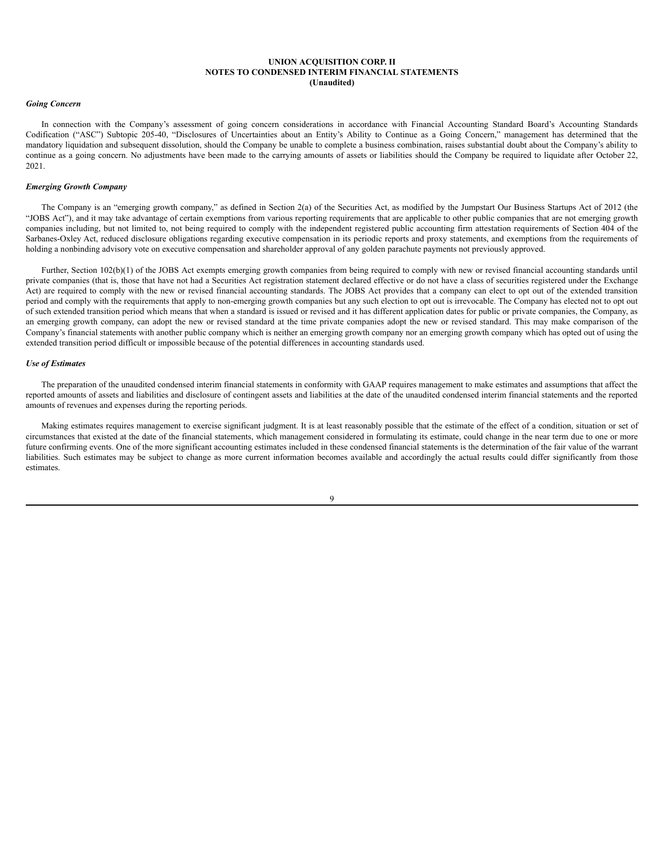### *Going Concern*

In connection with the Company's assessment of going concern considerations in accordance with Financial Accounting Standard Board's Accounting Standards Codification ("ASC") Subtopic 205-40, "Disclosures of Uncertainties about an Entity's Ability to Continue as a Going Concern," management has determined that the mandatory liquidation and subsequent dissolution, should the Company be unable to complete a business combination, raises substantial doubt about the Company's ability to continue as a going concern. No adjustments have been made to the carrying amounts of assets or liabilities should the Company be required to liquidate after October 22, 2021.

### *Emerging Growth Company*

The Company is an "emerging growth company," as defined in Section 2(a) of the Securities Act, as modified by the Jumpstart Our Business Startups Act of 2012 (the "JOBS Act"), and it may take advantage of certain exemptions from various reporting requirements that are applicable to other public companies that are not emerging growth companies including, but not limited to, not being required to comply with the independent registered public accounting firm attestation requirements of Section 404 of the Sarbanes-Oxley Act, reduced disclosure obligations regarding executive compensation in its periodic reports and proxy statements, and exemptions from the requirements of holding a nonbinding advisory vote on executive compensation and shareholder approval of any golden parachute payments not previously approved.

Further, Section 102(b)(1) of the JOBS Act exempts emerging growth companies from being required to comply with new or revised financial accounting standards until private companies (that is, those that have not had a Securities Act registration statement declared effective or do not have a class of securities registered under the Exchange Act) are required to comply with the new or revised financial accounting standards. The JOBS Act provides that a company can elect to opt out of the extended transition period and comply with the requirements that apply to non-emerging growth companies but any such election to opt out is irrevocable. The Company has elected not to opt out of such extended transition period which means that when a standard is issued or revised and it has different application dates for public or private companies, the Company, as an emerging growth company, can adopt the new or revised standard at the time private companies adopt the new or revised standard. This may make comparison of the Company's financial statements with another public company which is neither an emerging growth company nor an emerging growth company which has opted out of using the extended transition period difficult or impossible because of the potential differences in accounting standards used.

### *Use of Estimates*

The preparation of the unaudited condensed interim financial statements in conformity with GAAP requires management to make estimates and assumptions that affect the reported amounts of assets and liabilities and disclosure of contingent assets and liabilities at the date of the unaudited condensed interim financial statements and the reported amounts of revenues and expenses during the reporting periods.

Making estimates requires management to exercise significant judgment. It is at least reasonably possible that the estimate of the effect of a condition, situation or set of circumstances that existed at the date of the financial statements, which management considered in formulating its estimate, could change in the near term due to one or more future confirming events. One of the more significant accounting estimates included in these condensed financial statements is the determination of the fair value of the warrant liabilities. Such estimates may be subject to change as more current information becomes available and accordingly the actual results could differ significantly from those estimates.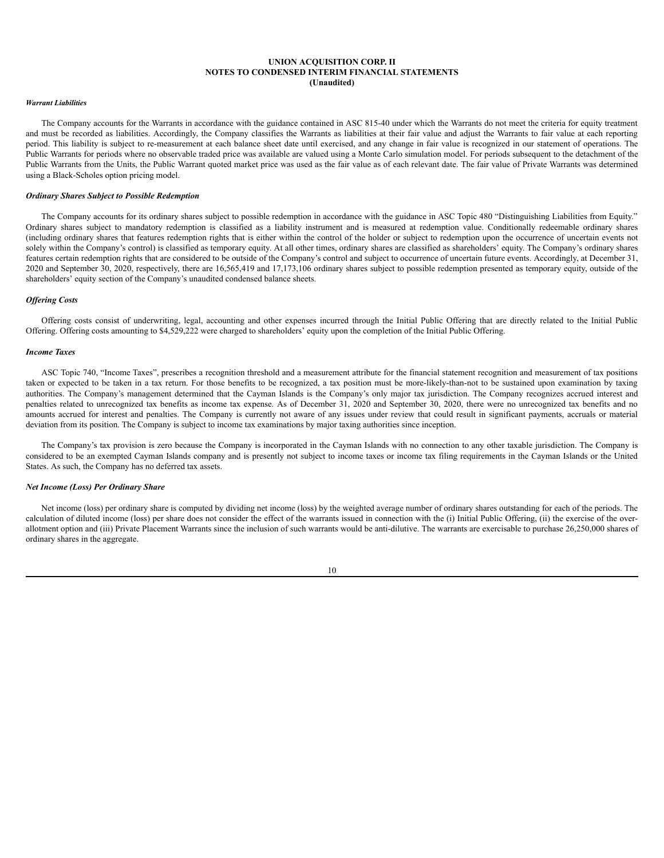### *Warrant Liabilities*

The Company accounts for the Warrants in accordance with the guidance contained in ASC 815-40 under which the Warrants do not meet the criteria for equity treatment and must be recorded as liabilities. Accordingly, the Company classifies the Warrants as liabilities at their fair value and adjust the Warrants to fair value at each reporting period. This liability is subject to re-measurement at each balance sheet date until exercised, and any change in fair value is recognized in our statement of operations. The Public Warrants for periods where no observable traded price was available are valued using a Monte Carlo simulation model. For periods subsequent to the detachment of the Public Warrants from the Units, the Public Warrant quoted market price was used as the fair value as of each relevant date. The fair value of Private Warrants was determined using a Black-Scholes option pricing model.

#### *Ordinary Shares Subject to Possible Redemption*

The Company accounts for its ordinary shares subject to possible redemption in accordance with the guidance in ASC Topic 480 "Distinguishing Liabilities from Equity." Ordinary shares subject to mandatory redemption is classified as a liability instrument and is measured at redemption value. Conditionally redeemable ordinary shares (including ordinary shares that features redemption rights that is either within the control of the holder or subject to redemption upon the occurrence of uncertain events not solely within the Company's control) is classified as temporary equity. At all other times, ordinary shares are classified as shareholders' equity. The Company's ordinary shares features certain redemption rights that are considered to be outside of the Company's control and subject to occurrence of uncertain future events. Accordingly, at December 31, 2020 and September 30, 2020, respectively, there are 16,565,419 and 17,173,106 ordinary shares subject to possible redemption presented as temporary equity, outside of the shareholders' equity section of the Company's unaudited condensed balance sheets.

### *Of ering Costs*

Offering costs consist of underwriting, legal, accounting and other expenses incurred through the Initial Public Offering that are directly related to the Initial Public Offering. Offering costs amounting to \$4,529,222 were charged to shareholders' equity upon the completion of the Initial Public Offering.

### *Income Taxes*

ASC Topic 740, "Income Taxes", prescribes a recognition threshold and a measurement attribute for the financial statement recognition and measurement of tax positions taken or expected to be taken in a tax return. For those benefits to be recognized, a tax position must be more-likely-than-not to be sustained upon examination by taxing authorities. The Company's management determined that the Cayman Islands is the Company's only major tax jurisdiction. The Company recognizes accrued interest and penalties related to unrecognized tax benefits as income tax expense. As of December 31, 2020 and September 30, 2020, there were no unrecognized tax benefits and no amounts accrued for interest and penalties. The Company is currently not aware of any issues under review that could result in significant payments, accruals or material deviation from its position. The Company is subject to income tax examinations by major taxing authorities since inception.

The Company's tax provision is zero because the Company is incorporated in the Cayman Islands with no connection to any other taxable jurisdiction. The Company is considered to be an exempted Cayman Islands company and is presently not subject to income taxes or income tax filing requirements in the Cayman Islands or the United States. As such, the Company has no deferred tax assets.

### *Net Income (Loss) Per Ordinary Share*

Net income (loss) per ordinary share is computed by dividing net income (loss) by the weighted average number of ordinary shares outstanding for each of the periods. The calculation of diluted income (loss) per share does not consider the effect of the warrants issued in connection with the (i) Initial Public Offering, (ii) the exercise of the overallotment option and (iii) Private Placement Warrants since the inclusion of such warrants would be anti-dilutive. The warrants are exercisable to purchase 26,250,000 shares of ordinary shares in the aggregate.

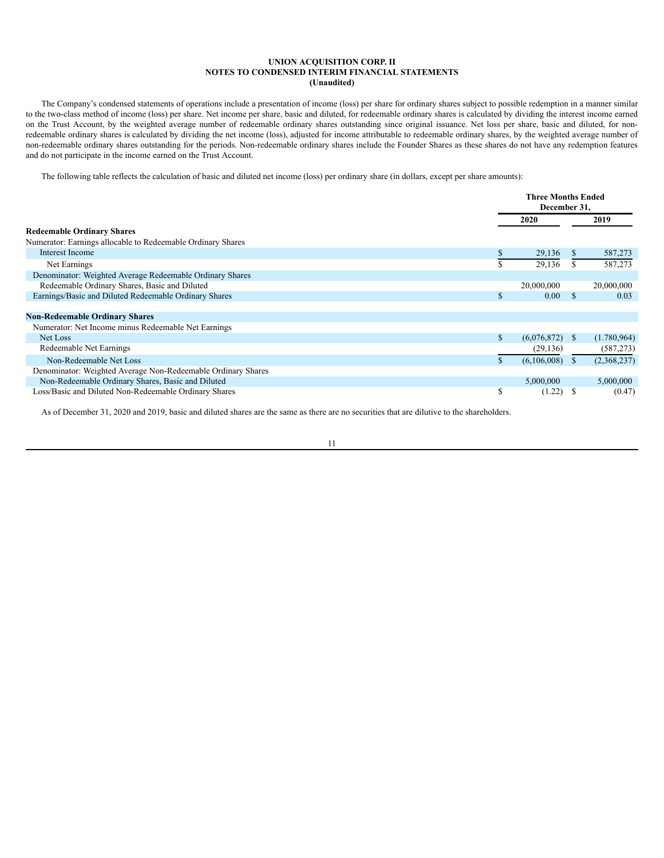The Company's condensed statements of operations include a presentation of income (loss) per share for ordinary shares subject to possible redemption in a manner similar to the two-class method of income (loss) per share. Net income per share, basic and diluted, for redeemable ordinary shares is calculated by dividing the interest income earned on the Trust Account, by the weighted average number of redeemable ordinary shares outstanding since original issuance. Net loss per share, basic and diluted, for nonredeemable ordinary shares is calculated by dividing the net income (loss), adjusted for income attributable to redeemable ordinary shares, by the weighted average number of non-redeemable ordinary shares outstanding for the periods. Non-redeemable ordinary shares include the Founder Shares as these shares do not have any redemption features and do not participate in the income earned on the Trust Account.

The following table reflects the calculation of basic and diluted net income (loss) per ordinary share (in dollars, except per share amounts):

|                                                              |    | <b>Three Months Ended</b><br>December 31. |              |              |
|--------------------------------------------------------------|----|-------------------------------------------|--------------|--------------|
|                                                              |    | 2020                                      |              | 2019         |
| <b>Redeemable Ordinary Shares</b>                            |    |                                           |              |              |
| Numerator: Earnings allocable to Redeemable Ordinary Shares  |    |                                           |              |              |
| Interest Income                                              |    | 29,136                                    |              | 587,273      |
| Net Earnings                                                 |    | 29,136                                    |              | 587,273      |
| Denominator: Weighted Average Redeemable Ordinary Shares     |    |                                           |              |              |
| Redeemable Ordinary Shares, Basic and Diluted                |    | 20,000,000                                |              | 20,000,000   |
| Earnings/Basic and Diluted Redeemable Ordinary Shares        | \$ | 0.00 <sub>1</sub>                         | <sup>S</sup> | 0.03         |
|                                                              |    |                                           |              |              |
| <b>Non-Redeemable Ordinary Shares</b>                        |    |                                           |              |              |
| Numerator: Net Income minus Redeemable Net Earnings          |    |                                           |              |              |
| Net Loss                                                     | \$ | (6,076,872)                               | <sup>S</sup> | (1.780, 964) |
| Redeemable Net Earnings                                      |    | (29, 136)                                 |              | (587, 273)   |
| Non-Redeemable Net Loss                                      |    | (6,106,008)                               | S.           | (2,368,237)  |
| Denominator: Weighted Average Non-Redeemable Ordinary Shares |    |                                           |              |              |
| Non-Redeemable Ordinary Shares, Basic and Diluted            |    | 5,000,000                                 |              | 5,000,000    |
| Loss/Basic and Diluted Non-Redeemable Ordinary Shares        | \$ | (1.22)                                    |              | (0.47)       |

As of December 31, 2020 and 2019, basic and diluted shares are the same as there are no securities that are dilutive to the shareholders.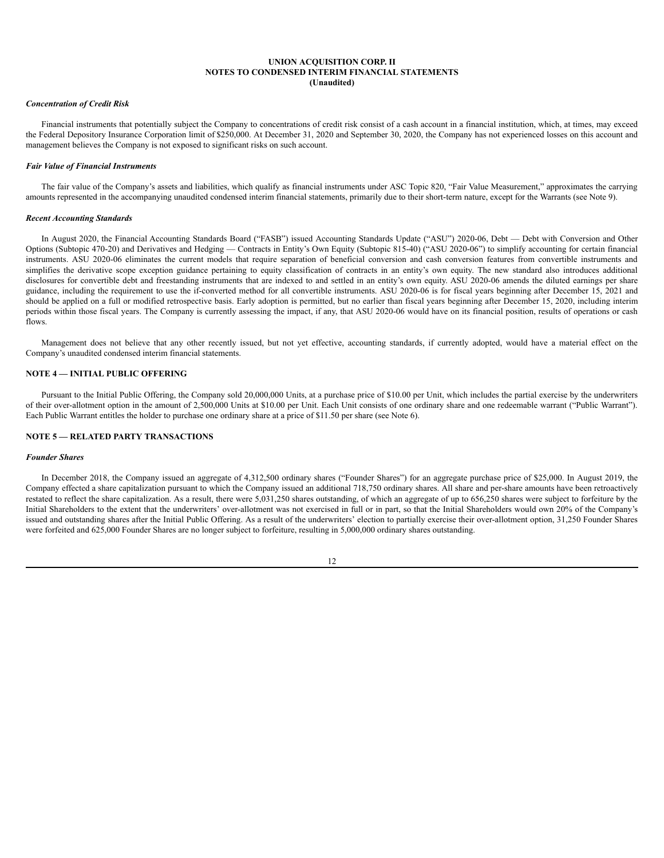### *Concentration of Credit Risk*

Financial instruments that potentially subject the Company to concentrations of credit risk consist of a cash account in a financial institution, which, at times, may exceed the Federal Depository Insurance Corporation limit of \$250,000. At December 31, 2020 and September 30, 2020, the Company has not experienced losses on this account and management believes the Company is not exposed to significant risks on such account.

### *Fair Value of Financial Instruments*

The fair value of the Company's assets and liabilities, which qualify as financial instruments under ASC Topic 820, "Fair Value Measurement," approximates the carrying amounts represented in the accompanying unaudited condensed interim financial statements, primarily due to their short-term nature, except for the Warrants (see Note 9).

### *Recent Accounting Standards*

In August 2020, the Financial Accounting Standards Board ("FASB") issued Accounting Standards Update ("ASU") 2020-06, Debt — Debt with Conversion and Other Options (Subtopic 470-20) and Derivatives and Hedging — Contracts in Entity's Own Equity (Subtopic 815-40) ("ASU 2020-06") to simplify accounting for certain financial instruments. ASU 2020-06 eliminates the current models that require separation of beneficial conversion and cash conversion features from convertible instruments and simplifies the derivative scope exception guidance pertaining to equity classification of contracts in an entity's own equity. The new standard also introduces additional disclosures for convertible debt and freestanding instruments that are indexed to and settled in an entity's own equity. ASU 2020-06 amends the diluted earnings per share guidance, including the requirement to use the if-converted method for all convertible instruments. ASU 2020-06 is for fiscal years beginning after December 15, 2021 and should be applied on a full or modified retrospective basis. Early adoption is permitted, but no earlier than fiscal years beginning after December 15, 2020, including interim periods within those fiscal years. The Company is currently assessing the impact, if any, that ASU 2020-06 would have on its financial position, results of operations or cash flows.

Management does not believe that any other recently issued, but not yet effective, accounting standards, if currently adopted, would have a material effect on the Company's unaudited condensed interim financial statements.

# **NOTE 4 — INITIAL PUBLIC OFFERING**

Pursuant to the Initial Public Offering, the Company sold 20,000,000 Units, at a purchase price of \$10.00 per Unit, which includes the partial exercise by the underwriters of their over-allotment option in the amount of 2,500,000 Units at \$10.00 per Unit. Each Unit consists of one ordinary share and one redeemable warrant ("Public Warrant"). Each Public Warrant entitles the holder to purchase one ordinary share at a price of \$11.50 per share (see Note 6).

### **NOTE 5 — RELATED PARTY TRANSACTIONS**

### *Founder Shares*

In December 2018, the Company issued an aggregate of 4,312,500 ordinary shares ("Founder Shares") for an aggregate purchase price of \$25,000. In August 2019, the Company effected a share capitalization pursuant to which the Company issued an additional 718,750 ordinary shares. All share and per-share amounts have been retroactively restated to reflect the share capitalization. As a result, there were 5,031,250 shares outstanding, of which an aggregate of up to 656,250 shares were subject to forfeiture by the Initial Shareholders to the extent that the underwriters' over-allotment was not exercised in full or in part, so that the Initial Shareholders would own 20% of the Company's issued and outstanding shares after the Initial Public Offering. As a result of the underwriters' election to partially exercise their over-allotment option, 31,250 Founder Shares were forfeited and 625,000 Founder Shares are no longer subject to forfeiture, resulting in 5,000,000 ordinary shares outstanding.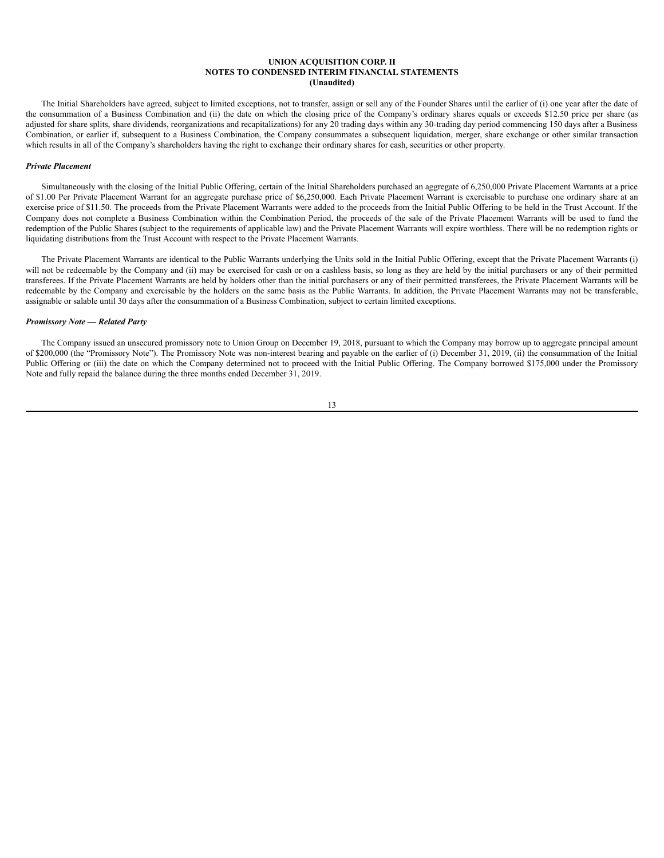The Initial Shareholders have agreed, subject to limited exceptions, not to transfer, assign or sell any of the Founder Shares until the earlier of (i) one year after the date of the consummation of a Business Combination and (ii) the date on which the closing price of the Company's ordinary shares equals or exceeds \$12.50 price per share (as adjusted for share splits, share dividends, reorganizations and recapitalizations) for any 20 trading days within any 30-trading day period commencing 150 days after a Business Combination, or earlier if, subsequent to a Business Combination, the Company consummates a subsequent liquidation, merger, share exchange or other similar transaction which results in all of the Company's shareholders having the right to exchange their ordinary shares for cash, securities or other property.

# *Private Placement*

Simultaneously with the closing of the Initial Public Offering, certain of the Initial Shareholders purchased an aggregate of 6,250,000 Private Placement Warrants at a price of \$1.00 Per Private Placement Warrant for an aggregate purchase price of \$6,250,000. Each Private Placement Warrant is exercisable to purchase one ordinary share at an exercise price of \$11.50. The proceeds from the Private Placement Warrants were added to the proceeds from the Initial Public Offering to be held in the Trust Account. If the Company does not complete a Business Combination within the Combination Period, the proceeds of the sale of the Private Placement Warrants will be used to fund the redemption of the Public Shares (subject to the requirements of applicable law) and the Private Placement Warrants will expire worthless. There will be no redemption rights or liquidating distributions from the Trust Account with respect to the Private Placement Warrants.

The Private Placement Warrants are identical to the Public Warrants underlying the Units sold in the Initial Public Offering, except that the Private Placement Warrants (i) will not be redeemable by the Company and (ii) may be exercised for cash or on a cashless basis, so long as they are held by the initial purchasers or any of their permitted transferees. If the Private Placement Warrants are held by holders other than the initial purchasers or any of their permitted transferees, the Private Placement Warrants will be redeemable by the Company and exercisable by the holders on the same basis as the Public Warrants. In addition, the Private Placement Warrants may not be transferable, assignable or salable until 30 days after the consummation of a Business Combination, subject to certain limited exceptions.

### *Promissory Note — Related Party*

The Company issued an unsecured promissory note to Union Group on December 19, 2018, pursuant to which the Company may borrow up to aggregate principal amount of \$200,000 (the "Promissory Note"). The Promissory Note was non-interest bearing and payable on the earlier of (i) December 31, 2019, (ii) the consummation of the Initial Public Offering or (iii) the date on which the Company determined not to proceed with the Initial Public Offering. The Company borrowed \$175,000 under the Promissory Note and fully repaid the balance during the three months ended December 31, 2019.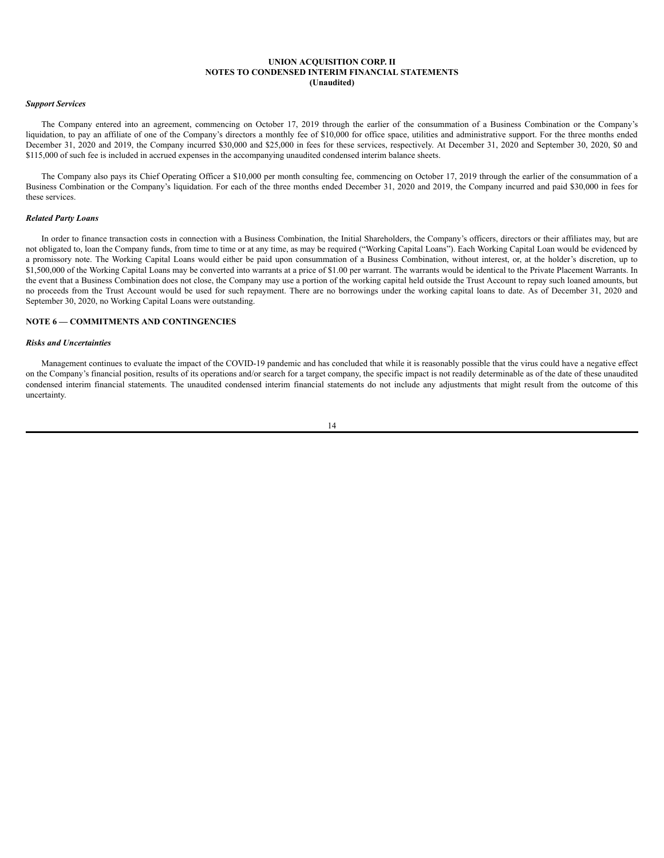### *Support Services*

The Company entered into an agreement, commencing on October 17, 2019 through the earlier of the consummation of a Business Combination or the Company's liquidation, to pay an affiliate of one of the Company's directors a monthly fee of \$10,000 for office space, utilities and administrative support. For the three months ended December 31, 2020 and 2019, the Company incurred \$30,000 and \$25,000 in fees for these services, respectively. At December 31, 2020 and September 30, 2020, \$0 and \$115,000 of such fee is included in accrued expenses in the accompanying unaudited condensed interim balance sheets.

The Company also pays its Chief Operating Officer a \$10,000 per month consulting fee, commencing on October 17, 2019 through the earlier of the consummation of a Business Combination or the Company's liquidation. For each of the three months ended December 31, 2020 and 2019, the Company incurred and paid \$30,000 in fees for these services.

### *Related Party Loans*

In order to finance transaction costs in connection with a Business Combination, the Initial Shareholders, the Company's officers, directors or their affiliates may, but are not obligated to, loan the Company funds, from time to time or at any time, as may be required ("Working Capital Loans"). Each Working Capital Loan would be evidenced by a promissory note. The Working Capital Loans would either be paid upon consummation of a Business Combination, without interest, or, at the holder's discretion, up to \$1,500,000 of the Working Capital Loans may be converted into warrants at a price of \$1.00 per warrant. The warrants would be identical to the Private Placement Warrants. In the event that a Business Combination does not close, the Company may use a portion of the working capital held outside the Trust Account to repay such loaned amounts, but no proceeds from the Trust Account would be used for such repayment. There are no borrowings under the working capital loans to date. As of December 31, 2020 and September 30, 2020, no Working Capital Loans were outstanding.

## **NOTE 6 — COMMITMENTS AND CONTINGENCIES**

#### *Risks and Uncertainties*

Management continues to evaluate the impact of the COVID-19 pandemic and has concluded that while it is reasonably possible that the virus could have a negative effect on the Company's financial position, results of its operations and/or search for a target company, the specific impact is not readily determinable as of the date of these unaudited condensed interim financial statements. The unaudited condensed interim financial statements do not include any adjustments that might result from the outcome of this uncertainty.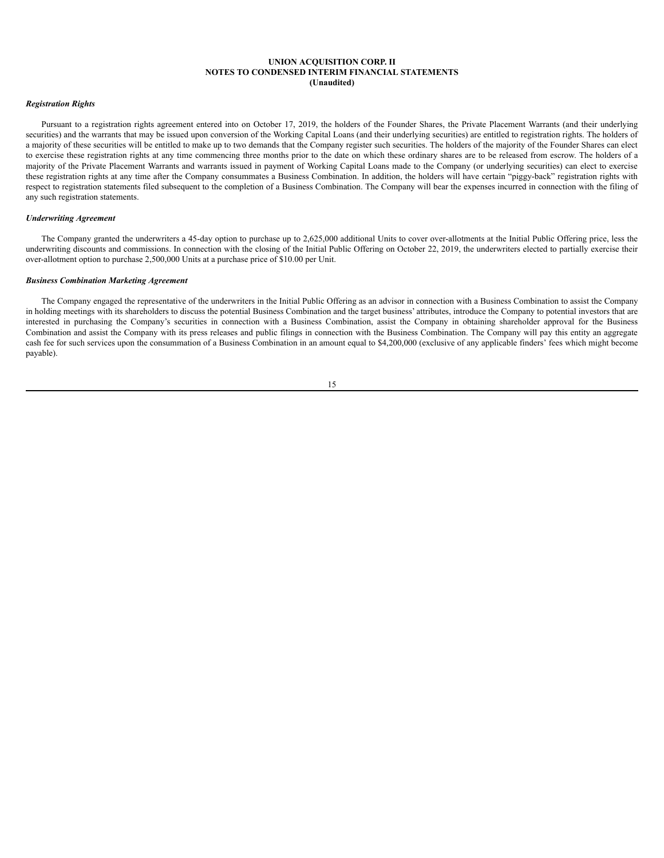### *Registration Rights*

Pursuant to a registration rights agreement entered into on October 17, 2019, the holders of the Founder Shares, the Private Placement Warrants (and their underlying securities) and the warrants that may be issued upon conversion of the Working Capital Loans (and their underlying securities) are entitled to registration rights. The holders of a majority of these securities will be entitled to make up to two demands that the Company register such securities. The holders of the majority of the Founder Shares can elect to exercise these registration rights at any time commencing three months prior to the date on which these ordinary shares are to be released from escrow. The holders of a majority of the Private Placement Warrants and warrants issued in payment of Working Capital Loans made to the Company (or underlying securities) can elect to exercise these registration rights at any time after the Company consummates a Business Combination. In addition, the holders will have certain "piggy-back" registration rights with respect to registration statements filed subsequent to the completion of a Business Combination. The Company will bear the expenses incurred in connection with the filing of any such registration statements.

### *Underwriting Agreement*

The Company granted the underwriters a 45-day option to purchase up to 2,625,000 additional Units to cover over-allotments at the Initial Public Offering price, less the underwriting discounts and commissions. In connection with the closing of the Initial Public Offering on October 22, 2019, the underwriters elected to partially exercise their over-allotment option to purchase 2,500,000 Units at a purchase price of \$10.00 per Unit.

### *Business Combination Marketing Agreement*

The Company engaged the representative of the underwriters in the Initial Public Offering as an advisor in connection with a Business Combination to assist the Company in holding meetings with its shareholders to discuss the potential Business Combination and the target business' attributes, introduce the Company to potential investors that are interested in purchasing the Company's securities in connection with a Business Combination, assist the Company in obtaining shareholder approval for the Business Combination and assist the Company with its press releases and public filings in connection with the Business Combination. The Company will pay this entity an aggregate cash fee for such services upon the consummation of a Business Combination in an amount equal to \$4,200,000 (exclusive of any applicable finders' fees which might become payable).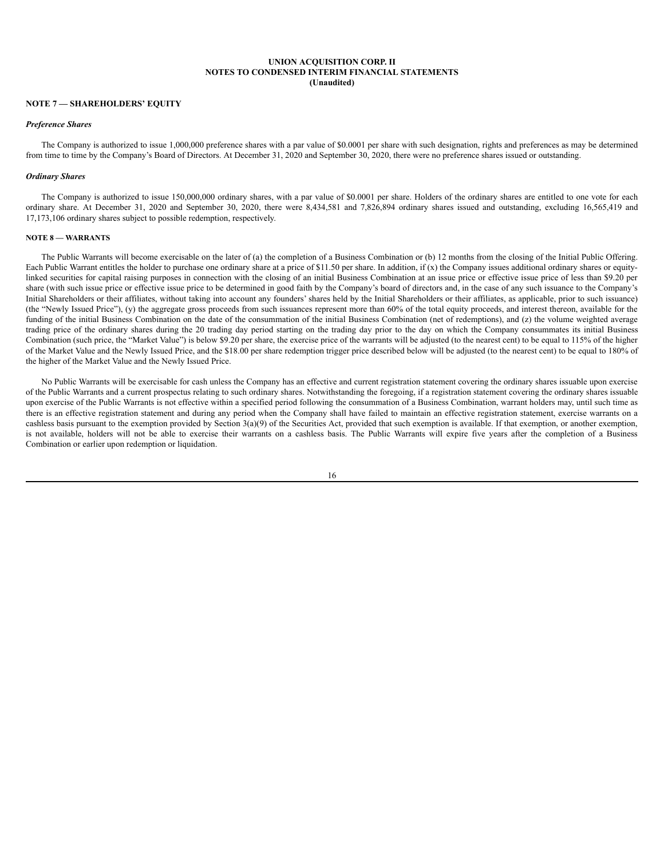### **NOTE 7 — SHAREHOLDERS' EQUITY**

#### *Preference Shares*

The Company is authorized to issue 1,000,000 preference shares with a par value of \$0.0001 per share with such designation, rights and preferences as may be determined from time to time by the Company's Board of Directors. At December 31, 2020 and September 30, 2020, there were no preference shares issued or outstanding.

### *Ordinary Shares*

The Company is authorized to issue 150,000,000 ordinary shares, with a par value of \$0.0001 per share. Holders of the ordinary shares are entitled to one vote for each ordinary share. At December 31, 2020 and September 30, 2020, there were 8,434,581 and 7,826,894 ordinary shares issued and outstanding, excluding 16,565,419 and 17,173,106 ordinary shares subject to possible redemption, respectively.

### **NOTE 8 — WARRANTS**

The Public Warrants will become exercisable on the later of (a) the completion of a Business Combination or (b) 12 months from the closing of the Initial Public Offering. Each Public Warrant entitles the holder to purchase one ordinary share at a price of \$11.50 per share. In addition, if (x) the Company issues additional ordinary shares or equitylinked securities for capital raising purposes in connection with the closing of an initial Business Combination at an issue price or effective issue price of less than \$9.20 per share (with such issue price or effective issue price to be determined in good faith by the Company's board of directors and, in the case of any such issuance to the Company's Initial Shareholders or their affiliates, without taking into account any founders' shares held by the Initial Shareholders or their affiliates, as applicable, prior to such issuance) (the "Newly Issued Price"), (y) the aggregate gross proceeds from such issuances represent more than 60% of the total equity proceeds, and interest thereon, available for the funding of the initial Business Combination on the date of the consummation of the initial Business Combination (net of redemptions), and (z) the volume weighted average trading price of the ordinary shares during the 20 trading day period starting on the trading day prior to the day on which the Company consummates its initial Business Combination (such price, the "Market Value") is below \$9.20 per share, the exercise price of the warrants will be adjusted (to the nearest cent) to be equal to 115% of the higher of the Market Value and the Newly Issued Price, and the \$18.00 per share redemption trigger price described below will be adjusted (to the nearest cent) to be equal to 180% of the higher of the Market Value and the Newly Issued Price.

No Public Warrants will be exercisable for cash unless the Company has an effective and current registration statement covering the ordinary shares issuable upon exercise of the Public Warrants and a current prospectus relating to such ordinary shares. Notwithstanding the foregoing, if a registration statement covering the ordinary shares issuable upon exercise of the Public Warrants is not effective within a specified period following the consummation of a Business Combination, warrant holders may, until such time as there is an effective registration statement and during any period when the Company shall have failed to maintain an effective registration statement, exercise warrants on a cashless basis pursuant to the exemption provided by Section 3(a)(9) of the Securities Act, provided that such exemption is available. If that exemption, or another exemption, is not available, holders will not be able to exercise their warrants on a cashless basis. The Public Warrants will expire five years after the completion of a Business Combination or earlier upon redemption or liquidation.

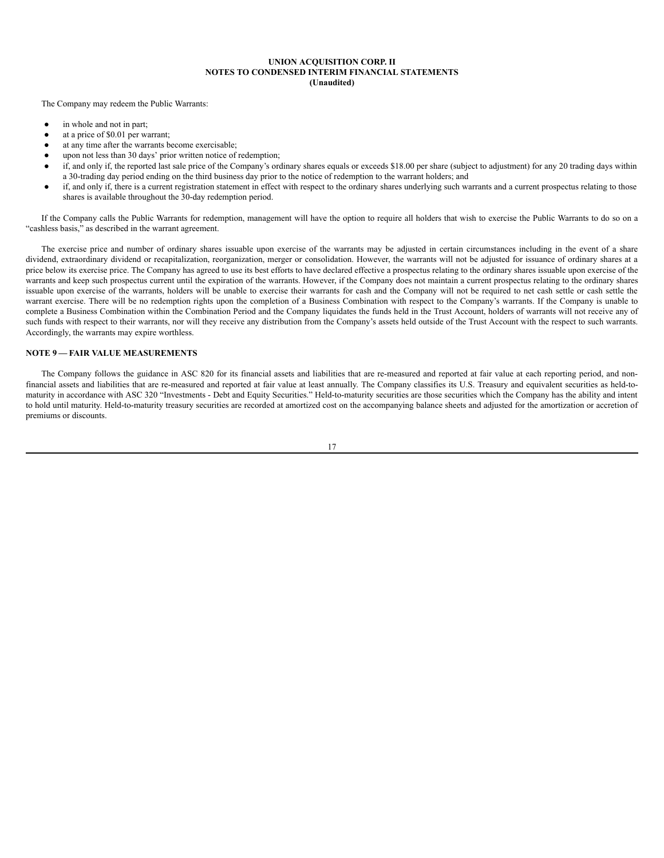The Company may redeem the Public Warrants:

- in whole and not in part;
- at a price of \$0.01 per warrant;
- at any time after the warrants become exercisable;
- upon not less than 30 days' prior written notice of redemption;
- if, and only if, the reported last sale price of the Company's ordinary shares equals or exceeds \$18.00 per share (subject to adjustment) for any 20 trading days within a 30-trading day period ending on the third business day prior to the notice of redemption to the warrant holders; and
- if, and only if, there is a current registration statement in effect with respect to the ordinary shares underlying such warrants and a current prospectus relating to those shares is available throughout the 30-day redemption period.

If the Company calls the Public Warrants for redemption, management will have the option to require all holders that wish to exercise the Public Warrants to do so on a "cashless basis," as described in the warrant agreement.

The exercise price and number of ordinary shares issuable upon exercise of the warrants may be adjusted in certain circumstances including in the event of a share dividend, extraordinary dividend or recapitalization, reorganization, merger or consolidation. However, the warrants will not be adjusted for issuance of ordinary shares at a price below its exercise price. The Company has agreed to use its best efforts to have declared effective a prospectus relating to the ordinary shares issuable upon exercise of the warrants and keep such prospectus current until the expiration of the warrants. However, if the Company does not maintain a current prospectus relating to the ordinary shares issuable upon exercise of the warrants, holders will be unable to exercise their warrants for cash and the Company will not be required to net cash settle or cash settle the warrant exercise. There will be no redemption rights upon the completion of a Business Combination with respect to the Company's warrants. If the Company is unable to complete a Business Combination within the Combination Period and the Company liquidates the funds held in the Trust Account, holders of warrants will not receive any of such funds with respect to their warrants, nor will they receive any distribution from the Company's assets held outside of the Trust Account with the respect to such warrants. Accordingly, the warrants may expire worthless.

## **NOTE 9 — FAIR VALUE MEASUREMENTS**

The Company follows the guidance in ASC 820 for its financial assets and liabilities that are re-measured and reported at fair value at each reporting period, and nonfinancial assets and liabilities that are re-measured and reported at fair value at least annually. The Company classifies its U.S. Treasury and equivalent securities as held-tomaturity in accordance with ASC 320 "Investments - Debt and Equity Securities." Held-to-maturity securities are those securities which the Company has the ability and intent to hold until maturity. Held-to-maturity treasury securities are recorded at amortized cost on the accompanying balance sheets and adjusted for the amortization or accretion of premiums or discounts.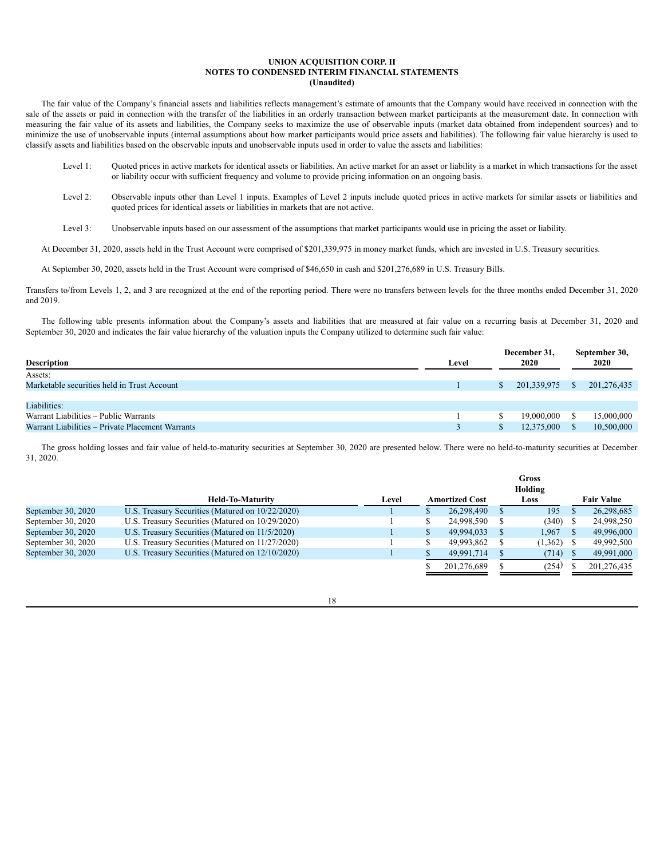The fair value of the Company's financial assets and liabilities reflects management's estimate of amounts that the Company would have received in connection with the sale of the assets or paid in connection with the transfer of the liabilities in an orderly transaction between market participants at the measurement date. In connection with measuring the fair value of its assets and liabilities, the Company seeks to maximize the use of observable inputs (market data obtained from independent sources) and to minimize the use of unobservable inputs (internal assumptions about how market participants would price assets and liabilities). The following fair value hierarchy is used to classify assets and liabilities based on the observable inputs and unobservable inputs used in order to value the assets and liabilities:

- Level 1: Quoted prices in active markets for identical assets or liabilities. An active market for an asset or liability is a market in which transactions for the asset or liability occur with sufficient frequency and volume to provide pricing information on an ongoing basis.
- Level 2: Observable inputs other than Level 1 inputs. Examples of Level 2 inputs include quoted prices in active markets for similar assets or liabilities and quoted prices for identical assets or liabilities in markets that are not active.
- Level 3: Unobservable inputs based on our assessment of the assumptions that market participants would use in pricing the asset or liability.

At December 31, 2020, assets held in the Trust Account were comprised of \$201,339,975 in money market funds, which are invested in U.S. Treasury securities.

At September 30, 2020, assets held in the Trust Account were comprised of \$46,650 in cash and \$201,276,689 in U.S. Treasury Bills.

Transfers to/from Levels 1, 2, and 3 are recognized at the end of the reporting period. There were no transfers between levels for the three months ended December 31, 2020 and 2019.

The following table presents information about the Company's assets and liabilities that are measured at fair value on a recurring basis at December 31, 2020 and September 30, 2020 and indicates the fair value hierarchy of the valuation inputs the Company utilized to determine such fair value:

|                                                  |       | December 31,   |  | September 30, |
|--------------------------------------------------|-------|----------------|--|---------------|
| <b>Description</b>                               | Level | 2020           |  | 2020          |
| Assets:                                          |       |                |  |               |
| Marketable securities held in Trust Account      |       | 201,339,975 \$ |  | 201,276,435   |
|                                                  |       |                |  |               |
| Liabilities:                                     |       |                |  |               |
| Warrant Liabilities - Public Warrants            |       | 19,000,000     |  | 15,000,000    |
| Warrant Liabilities – Private Placement Warrants |       | 12,375,000     |  | 10,500,000    |
|                                                  |       |                |  |               |

The gross holding losses and fair value of held-to-maturity securities at September 30, 2020 are presented below. There were no held-to-maturity securities at December 31, 2020.

|                    |                                                  | Gross<br>Holding |  |                       |  |         |                   |
|--------------------|--------------------------------------------------|------------------|--|-----------------------|--|---------|-------------------|
|                    | <b>Held-To-Maturity</b>                          | Level            |  | <b>Amortized Cost</b> |  | Loss    | <b>Fair Value</b> |
| September 30, 2020 | U.S. Treasury Securities (Matured on 10/22/2020) |                  |  | 26.298.490            |  | 195     | 26,298,685        |
| September 30, 2020 | U.S. Treasury Securities (Matured on 10/29/2020) |                  |  | 24.998.590            |  | (340)   | 24,998,250        |
| September 30, 2020 | U.S. Treasury Securities (Matured on 11/5/2020)  |                  |  | 49.994.033            |  | 1.967   | 49,996,000        |
| September 30, 2020 | U.S. Treasury Securities (Matured on 11/27/2020) |                  |  | 49,993,862            |  | (1,362) | 49,992,500        |
| September 30, 2020 | U.S. Treasury Securities (Matured on 12/10/2020) |                  |  | 49.991.714            |  | (714)   | 49,991,000        |
|                    |                                                  |                  |  | 201.276.689           |  | (254)   | 201,276,435       |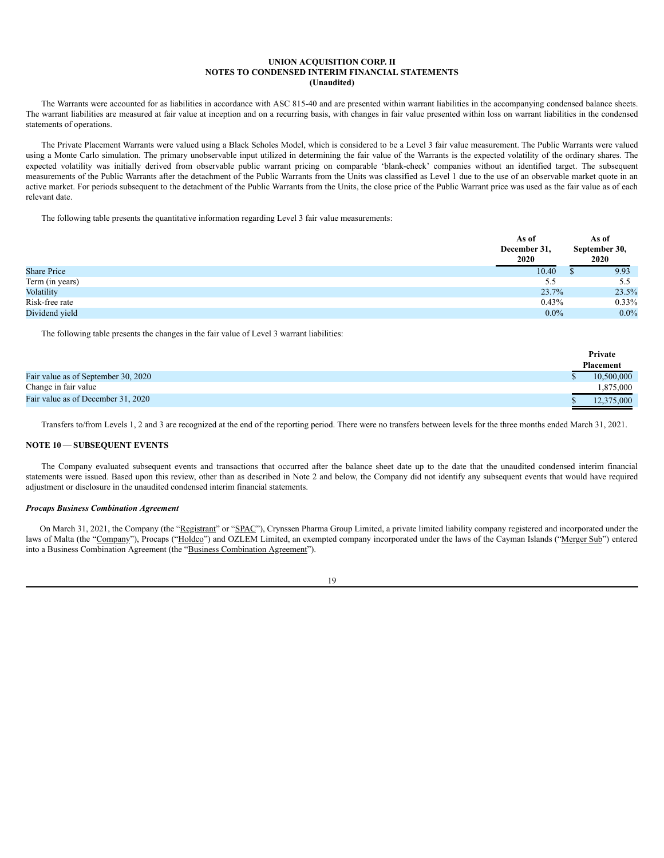The Warrants were accounted for as liabilities in accordance with ASC 815-40 and are presented within warrant liabilities in the accompanying condensed balance sheets. The warrant liabilities are measured at fair value at inception and on a recurring basis, with changes in fair value presented within loss on warrant liabilities in the condensed statements of operations.

The Private Placement Warrants were valued using a Black Scholes Model, which is considered to be a Level 3 fair value measurement. The Public Warrants were valued using a Monte Carlo simulation. The primary unobservable input utilized in determining the fair value of the Warrants is the expected volatility of the ordinary shares. The expected volatility was initially derived from observable public warrant pricing on comparable 'blank-check' companies without an identified target. The subsequent measurements of the Public Warrants after the detachment of the Public Warrants from the Units was classified as Level 1 due to the use of an observable market quote in an active market. For periods subsequent to the detachment of the Public Warrants from the Units, the close price of the Public Warrant price was used as the fair value as of each relevant date.

The following table presents the quantitative information regarding Level 3 fair value measurements:

|                    | As of<br>December 31,<br>2020 | As of<br>September 30,<br>2020 |  |
|--------------------|-------------------------------|--------------------------------|--|
| <b>Share Price</b> | 10.40                         | 9.93                           |  |
| Term (in years)    | 5.5                           | 5.5                            |  |
| Volatility         | 23.7%                         | 23.5%                          |  |
| Risk-free rate     | 0.43%                         | 0.33%                          |  |
| Dividend yield     | $0.0\%$                       | $0.0\%$                        |  |

The following table presents the changes in the fair value of Level 3 warrant liabilities:

|                                     | Private          |  |
|-------------------------------------|------------------|--|
|                                     | <b>Placement</b> |  |
| Fair value as of September 30, 2020 | 10,500,000       |  |
| Change in fair value                | 1.875.000        |  |
| Fair value as of December 31, 2020  | 12.375.000       |  |

Transfers to/from Levels 1, 2 and 3 are recognized at the end of the reporting period. There were no transfers between levels for the three months ended March 31, 2021.

## **NOTE 10 — SUBSEQUENT EVENTS**

The Company evaluated subsequent events and transactions that occurred after the balance sheet date up to the date that the unaudited condensed interim financial statements were issued. Based upon this review, other than as described in Note 2 and below, the Company did not identify any subsequent events that would have required adjustment or disclosure in the unaudited condensed interim financial statements.

### *Procaps Business Combination Agreement*

On March 31, 2021, the Company (the "Registrant" or "SPAC"), Crynssen Pharma Group Limited, a private limited liability company registered and incorporated under the laws of Malta (the "Company"), Procaps ("Holdco") and OZLEM Limited, an exempted company incorporated under the laws of the Cayman Islands ("Merger Sub") entered into a Business Combination Agreement (the "Business Combination Agreement").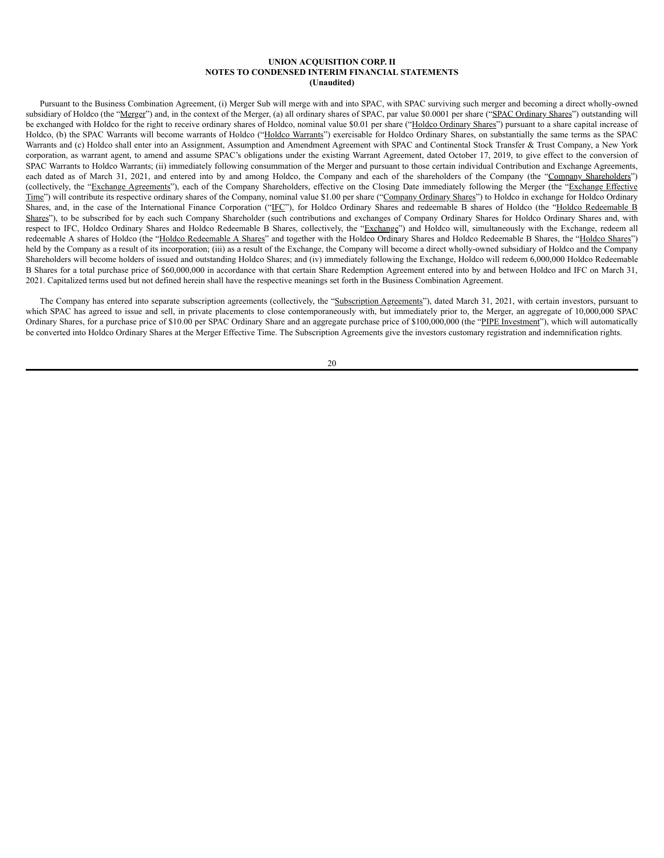Pursuant to the Business Combination Agreement, (i) Merger Sub will merge with and into SPAC, with SPAC surviving such merger and becoming a direct wholly-owned subsidiary of Holdco (the "Merger") and, in the context of the Merger, (a) all ordinary shares of SPAC, par value \$0.0001 per share ("SPAC Ordinary Shares") outstanding will be exchanged with Holdco for the right to receive ordinary shares of Holdco, nominal value \$0.01 per share ("Holdco Ordinary Shares") pursuant to a share capital increase of Holdco, (b) the SPAC Warrants will become warrants of Holdco ("Holdco Warrants") exercisable for Holdco Ordinary Shares, on substantially the same terms as the SPAC Warrants and (c) Holdco shall enter into an Assignment, Assumption and Amendment Agreement with SPAC and Continental Stock Transfer & Trust Company, a New York corporation, as warrant agent, to amend and assume SPAC's obligations under the existing Warrant Agreement, dated October 17, 2019, to give effect to the conversion of SPAC Warrants to Holdco Warrants; (ii) immediately following consummation of the Merger and pursuant to those certain individual Contribution and Exchange Agreements, each dated as of March 31, 2021, and entered into by and among Holdco, the Company and each of the shareholders of the Company (the "Company Shareholders") (collectively, the "Exchange Agreements"), each of the Company Shareholders, effective on the Closing Date immediately following the Merger (the "Exchange Effective Time") will contribute its respective ordinary shares of the Company, nominal value \$1.00 per share ("Company Ordinary Shares") to Holdco in exchange for Holdco Ordinary Shares, and, in the case of the International Finance Corporation ("IFC"), for Holdco Ordinary Shares and redeemable B shares of Holdco (the "Holdco Redeemable B Shares"), to be subscribed for by each such Company Shareholder (such contributions and exchanges of Company Ordinary Shares for Holdco Ordinary Shares and, with respect to IFC, Holdco Ordinary Shares and Holdco Redeemable B Shares, collectively, the "Exchange") and Holdco will, simultaneously with the Exchange, redeem all redeemable A shares of Holdco (the "Holdco Redeemable A Shares" and together with the Holdco Ordinary Shares and Holdco Redeemable B Shares, the "Holdco Shares") held by the Company as a result of its incorporation; (iii) as a result of the Exchange, the Company will become a direct wholly-owned subsidiary of Holdco and the Company Shareholders will become holders of issued and outstanding Holdco Shares; and (iv) immediately following the Exchange, Holdco will redeem 6,000,000 Holdco Redeemable B Shares for a total purchase price of \$60,000,000 in accordance with that certain Share Redemption Agreement entered into by and between Holdco and IFC on March 31, 2021. Capitalized terms used but not defined herein shall have the respective meanings set forth in the Business Combination Agreement.

The Company has entered into separate subscription agreements (collectively, the "Subscription Agreements"), dated March 31, 2021, with certain investors, pursuant to which SPAC has agreed to issue and sell, in private placements to close contemporaneously with, but immediately prior to, the Merger, an aggregate of 10,000,000 SPAC Ordinary Shares, for a purchase price of \$10.00 per SPAC Ordinary Share and an aggregate purchase price of \$100,000,000 (the "PIPE Investment"), which will automatically be converted into Holdco Ordinary Shares at the Merger Effective Time. The Subscription Agreements give the investors customary registration and indemnification rights.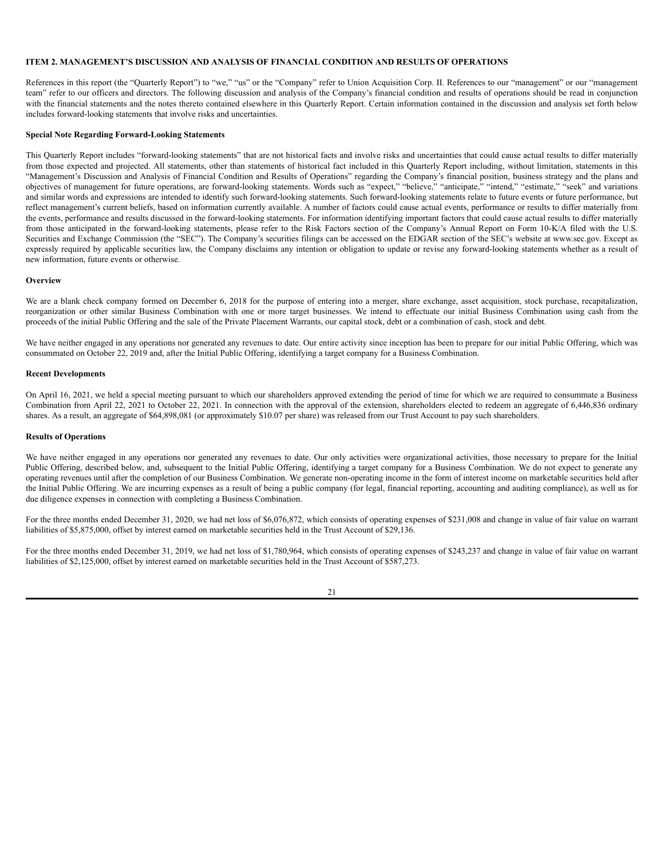### <span id="page-23-0"></span>**ITEM 2. MANAGEMENT'S DISCUSSION AND ANALYSIS OF FINANCIAL CONDITION AND RESULTS OF OPERATIONS**

References in this report (the "Quarterly Report") to "we," "us" or the "Company" refer to Union Acquisition Corp. II. References to our "management" or our "management team" refer to our officers and directors. The following discussion and analysis of the Company's financial condition and results of operations should be read in conjunction with the financial statements and the notes thereto contained elsewhere in this Quarterly Report. Certain information contained in the discussion and analysis set forth below includes forward-looking statements that involve risks and uncertainties.

### **Special Note Regarding Forward-Looking Statements**

This Quarterly Report includes "forward-looking statements" that are not historical facts and involve risks and uncertainties that could cause actual results to differ materially from those expected and projected. All statements, other than statements of historical fact included in this Quarterly Report including, without limitation, statements in this "Management's Discussion and Analysis of Financial Condition and Results of Operations" regarding the Company's financial position, business strategy and the plans and objectives of management for future operations, are forward-looking statements. Words such as "expect," "believe," "anticipate," "intend," "estimate," "seek" and variations and similar words and expressions are intended to identify such forward-looking statements. Such forward-looking statements relate to future events or future performance, but reflect management's current beliefs, based on information currently available. A number of factors could cause actual events, performance or results to differ materially from the events, performance and results discussed in the forward-looking statements. For information identifying important factors that could cause actual results to differ materially from those anticipated in the forward-looking statements, please refer to the Risk Factors section of the Company's Annual Report on Form 10-K/A filed with the U.S. Securities and Exchange Commission (the "SEC"). The Company's securities filings can be accessed on the EDGAR section of the SEC's website at www.sec.gov. Except as expressly required by applicable securities law, the Company disclaims any intention or obligation to update or revise any forward-looking statements whether as a result of new information, future events or otherwise.

### **Overview**

We are a blank check company formed on December 6, 2018 for the purpose of entering into a merger, share exchange, asset acquisition, stock purchase, recapitalization, reorganization or other similar Business Combination with one or more target businesses. We intend to effectuate our initial Business Combination using cash from the proceeds of the initial Public Offering and the sale of the Private Placement Warrants, our capital stock, debt or a combination of cash, stock and debt.

We have neither engaged in any operations nor generated any revenues to date. Our entire activity since inception has been to prepare for our initial Public Offering, which was consummated on October 22, 2019 and, after the Initial Public Offering, identifying a target company for a Business Combination.

### **Recent Developments**

On April 16, 2021, we held a special meeting pursuant to which our shareholders approved extending the period of time for which we are required to consummate a Business Combination from April 22, 2021 to October 22, 2021. In connection with the approval of the extension, shareholders elected to redeem an aggregate of 6,446,836 ordinary shares. As a result, an aggregate of \$64,898,081 (or approximately \$10.07 per share) was released from our Trust Account to pay such shareholders.

#### **Results of Operations**

We have neither engaged in any operations nor generated any revenues to date. Our only activities were organizational activities, those necessary to prepare for the Initial Public Offering, described below, and, subsequent to the Initial Public Offering, identifying a target company for a Business Combination. We do not expect to generate any operating revenues until after the completion of our Business Combination. We generate non-operating income in the form of interest income on marketable securities held after the Initial Public Offering. We are incurring expenses as a result of being a public company (for legal, financial reporting, accounting and auditing compliance), as well as for due diligence expenses in connection with completing a Business Combination.

For the three months ended December 31, 2020, we had net loss of \$6,076,872, which consists of operating expenses of \$231,008 and change in value of fair value on warrant liabilities of \$5,875,000, offset by interest earned on marketable securities held in the Trust Account of \$29,136.

For the three months ended December 31, 2019, we had net loss of \$1,780,964, which consists of operating expenses of \$243,237 and change in value of fair value on warrant liabilities of \$2,125,000, offset by interest earned on marketable securities held in the Trust Account of \$587,273.

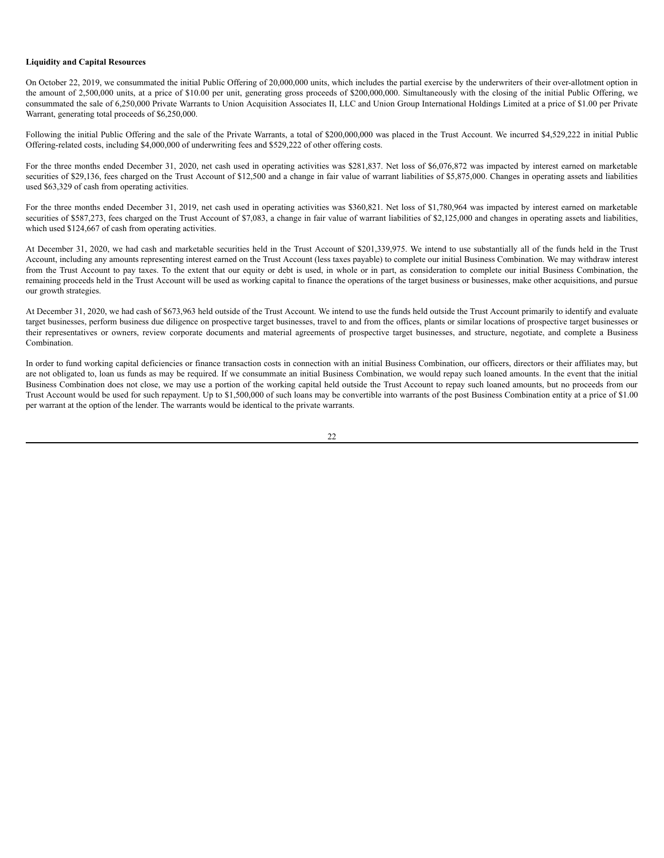### **Liquidity and Capital Resources**

On October 22, 2019, we consummated the initial Public Offering of 20,000,000 units, which includes the partial exercise by the underwriters of their over-allotment option in the amount of 2,500,000 units, at a price of \$10.00 per unit, generating gross proceeds of \$200,000,000. Simultaneously with the closing of the initial Public Offering, we consummated the sale of 6,250,000 Private Warrants to Union Acquisition Associates II, LLC and Union Group International Holdings Limited at a price of \$1.00 per Private Warrant, generating total proceeds of \$6,250,000.

Following the initial Public Offering and the sale of the Private Warrants, a total of \$200,000,000 was placed in the Trust Account. We incurred \$4,529,222 in initial Public Offering-related costs, including \$4,000,000 of underwriting fees and \$529,222 of other offering costs.

For the three months ended December 31, 2020, net cash used in operating activities was \$281,837. Net loss of \$6,076,872 was impacted by interest earned on marketable securities of \$29,136, fees charged on the Trust Account of \$12,500 and a change in fair value of warrant liabilities of \$5,875,000. Changes in operating assets and liabilities used \$63,329 of cash from operating activities.

For the three months ended December 31, 2019, net cash used in operating activities was \$360,821. Net loss of \$1,780,964 was impacted by interest earned on marketable securities of \$587,273, fees charged on the Trust Account of \$7,083, a change in fair value of warrant liabilities of \$2,125,000 and changes in operating assets and liabilities, which used \$124,667 of cash from operating activities.

At December 31, 2020, we had cash and marketable securities held in the Trust Account of \$201,339,975. We intend to use substantially all of the funds held in the Trust Account, including any amounts representing interest earned on the Trust Account (less taxes payable) to complete our initial Business Combination. We may withdraw interest from the Trust Account to pay taxes. To the extent that our equity or debt is used, in whole or in part, as consideration to complete our initial Business Combination, the remaining proceeds held in the Trust Account will be used as working capital to finance the operations of the target business or businesses, make other acquisitions, and pursue our growth strategies.

At December 31, 2020, we had cash of \$673,963 held outside of the Trust Account. We intend to use the funds held outside the Trust Account primarily to identify and evaluate target businesses, perform business due diligence on prospective target businesses, travel to and from the offices, plants or similar locations of prospective target businesses or their representatives or owners, review corporate documents and material agreements of prospective target businesses, and structure, negotiate, and complete a Business Combination.

In order to fund working capital deficiencies or finance transaction costs in connection with an initial Business Combination, our officers, directors or their affiliates may, but are not obligated to, loan us funds as may be required. If we consummate an initial Business Combination, we would repay such loaned amounts. In the event that the initial Business Combination does not close, we may use a portion of the working capital held outside the Trust Account to repay such loaned amounts, but no proceeds from our Trust Account would be used for such repayment. Up to \$1,500,000 of such loans may be convertible into warrants of the post Business Combination entity at a price of \$1.00 per warrant at the option of the lender. The warrants would be identical to the private warrants.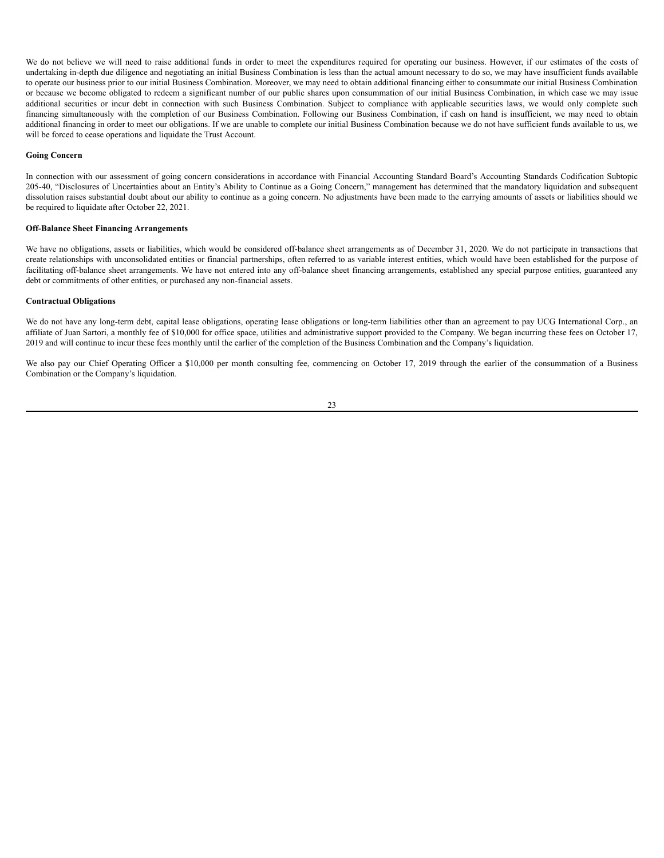We do not believe we will need to raise additional funds in order to meet the expenditures required for operating our business. However, if our estimates of the costs of undertaking in-depth due diligence and negotiating an initial Business Combination is less than the actual amount necessary to do so, we may have insufficient funds available to operate our business prior to our initial Business Combination. Moreover, we may need to obtain additional financing either to consummate our initial Business Combination or because we become obligated to redeem a significant number of our public shares upon consummation of our initial Business Combination, in which case we may issue additional securities or incur debt in connection with such Business Combination. Subject to compliance with applicable securities laws, we would only complete such financing simultaneously with the completion of our Business Combination. Following our Business Combination, if cash on hand is insufficient, we may need to obtain additional financing in order to meet our obligations. If we are unable to complete our initial Business Combination because we do not have sufficient funds available to us, we will be forced to cease operations and liquidate the Trust Account.

### **Going Concern**

In connection with our assessment of going concern considerations in accordance with Financial Accounting Standard Board's Accounting Standards Codification Subtopic 205-40, "Disclosures of Uncertainties about an Entity's Ability to Continue as a Going Concern," management has determined that the mandatory liquidation and subsequent dissolution raises substantial doubt about our ability to continue as a going concern. No adjustments have been made to the carrying amounts of assets or liabilities should we be required to liquidate after October 22, 2021.

### **Off-Balance Sheet Financing Arrangements**

We have no obligations, assets or liabilities, which would be considered off-balance sheet arrangements as of December 31, 2020. We do not participate in transactions that create relationships with unconsolidated entities or financial partnerships, often referred to as variable interest entities, which would have been established for the purpose of facilitating off-balance sheet arrangements. We have not entered into any off-balance sheet financing arrangements, established any special purpose entities, guaranteed any debt or commitments of other entities, or purchased any non-financial assets.

### **Contractual Obligations**

We do not have any long-term debt, capital lease obligations, operating lease obligations or long-term liabilities other than an agreement to pay UCG International Corp., an affiliate of Juan Sartori, a monthly fee of \$10,000 for office space, utilities and administrative support provided to the Company. We began incurring these fees on October 17, 2019 and will continue to incur these fees monthly until the earlier of the completion of the Business Combination and the Company's liquidation.

We also pay our Chief Operating Officer a \$10,000 per month consulting fee, commencing on October 17, 2019 through the earlier of the consummation of a Business Combination or the Company's liquidation.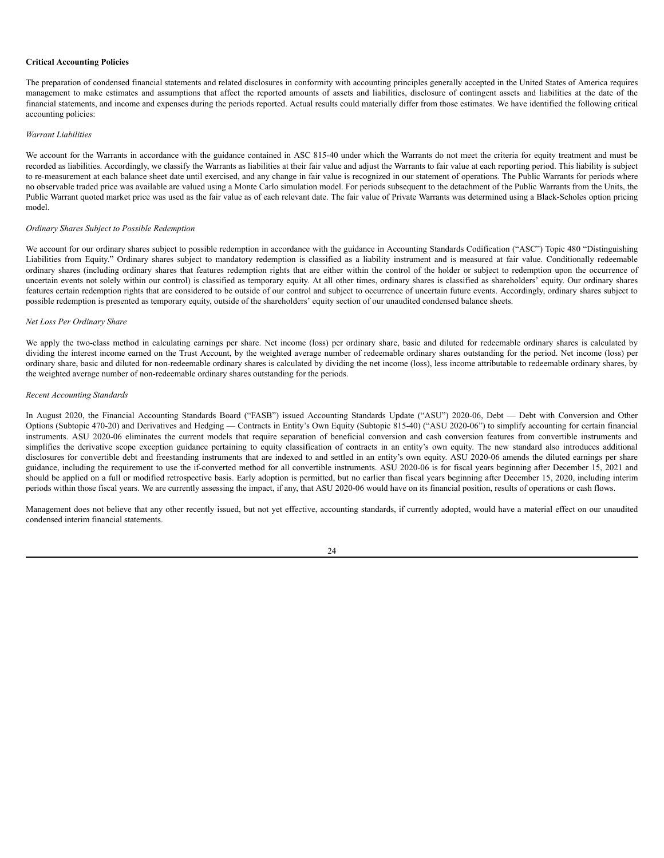### **Critical Accounting Policies**

The preparation of condensed financial statements and related disclosures in conformity with accounting principles generally accepted in the United States of America requires management to make estimates and assumptions that affect the reported amounts of assets and liabilities, disclosure of contingent assets and liabilities at the date of the financial statements, and income and expenses during the periods reported. Actual results could materially differ from those estimates. We have identified the following critical accounting policies:

### *Warrant Liabilities*

We account for the Warrants in accordance with the guidance contained in ASC 815-40 under which the Warrants do not meet the criteria for equity treatment and must be recorded as liabilities. Accordingly, we classify the Warrants as liabilities at their fair value and adjust the Warrants to fair value at each reporting period. This liability is subject to re-measurement at each balance sheet date until exercised, and any change in fair value is recognized in our statement of operations. The Public Warrants for periods where no observable traded price was available are valued using a Monte Carlo simulation model. For periods subsequent to the detachment of the Public Warrants from the Units, the Public Warrant quoted market price was used as the fair value as of each relevant date. The fair value of Private Warrants was determined using a Black-Scholes option pricing model.

### *Ordinary Shares Subject to Possible Redemption*

We account for our ordinary shares subject to possible redemption in accordance with the guidance in Accounting Standards Codification ("ASC") Topic 480 "Distinguishing Liabilities from Equity." Ordinary shares subject to mandatory redemption is classified as a liability instrument and is measured at fair value. Conditionally redeemable ordinary shares (including ordinary shares that features redemption rights that are either within the control of the holder or subject to redemption upon the occurrence of uncertain events not solely within our control) is classified as temporary equity. At all other times, ordinary shares is classified as shareholders' equity. Our ordinary shares features certain redemption rights that are considered to be outside of our control and subject to occurrence of uncertain future events. Accordingly, ordinary shares subject to possible redemption is presented as temporary equity, outside of the shareholders' equity section of our unaudited condensed balance sheets.

### *Net Loss Per Ordinary Share*

We apply the two-class method in calculating earnings per share. Net income (loss) per ordinary share, basic and diluted for redeemable ordinary shares is calculated by dividing the interest income earned on the Trust Account, by the weighted average number of redeemable ordinary shares outstanding for the period. Net income (loss) per ordinary share, basic and diluted for non-redeemable ordinary shares is calculated by dividing the net income (loss), less income attributable to redeemable ordinary shares, by the weighted average number of non-redeemable ordinary shares outstanding for the periods.

### *Recent Accounting Standards*

In August 2020, the Financial Accounting Standards Board ("FASB") issued Accounting Standards Update ("ASU") 2020-06, Debt — Debt with Conversion and Other Options (Subtopic 470-20) and Derivatives and Hedging — Contracts in Entity's Own Equity (Subtopic 815-40) ("ASU 2020-06") to simplify accounting for certain financial instruments. ASU 2020-06 eliminates the current models that require separation of beneficial conversion and cash conversion features from convertible instruments and simplifies the derivative scope exception guidance pertaining to equity classification of contracts in an entity's own equity. The new standard also introduces additional disclosures for convertible debt and freestanding instruments that are indexed to and settled in an entity's own equity. ASU 2020-06 amends the diluted earnings per share guidance, including the requirement to use the if-converted method for all convertible instruments. ASU 2020-06 is for fiscal years beginning after December 15, 2021 and should be applied on a full or modified retrospective basis. Early adoption is permitted, but no earlier than fiscal years beginning after December 15, 2020, including interim periods within those fiscal years. We are currently assessing the impact, if any, that ASU 2020-06 would have on its financial position, results of operations or cash flows.

Management does not believe that any other recently issued, but not yet effective, accounting standards, if currently adopted, would have a material effect on our unaudited condensed interim financial statements.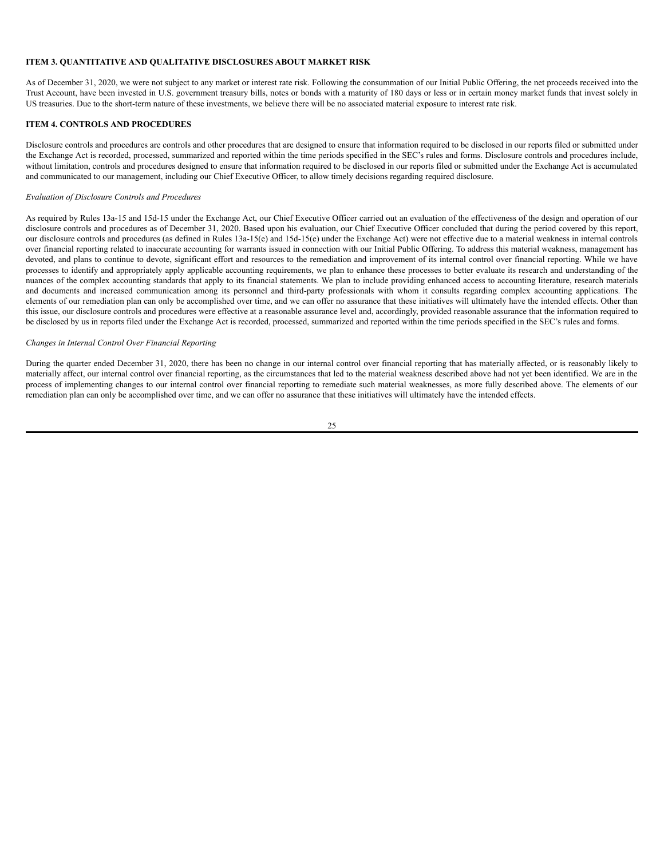### <span id="page-27-0"></span>**ITEM 3. QUANTITATIVE AND QUALITATIVE DISCLOSURES ABOUT MARKET RISK**

As of December 31, 2020, we were not subject to any market or interest rate risk. Following the consummation of our Initial Public Offering, the net proceeds received into the Trust Account, have been invested in U.S. government treasury bills, notes or bonds with a maturity of 180 days or less or in certain money market funds that invest solely in US treasuries. Due to the short-term nature of these investments, we believe there will be no associated material exposure to interest rate risk.

### <span id="page-27-1"></span>**ITEM 4. CONTROLS AND PROCEDURES**

Disclosure controls and procedures are controls and other procedures that are designed to ensure that information required to be disclosed in our reports filed or submitted under the Exchange Act is recorded, processed, summarized and reported within the time periods specified in the SEC's rules and forms. Disclosure controls and procedures include, without limitation, controls and procedures designed to ensure that information required to be disclosed in our reports filed or submitted under the Exchange Act is accumulated and communicated to our management, including our Chief Executive Officer, to allow timely decisions regarding required disclosure.

### *Evaluation of Disclosure Controls and Procedures*

As required by Rules 13a-15 and 15d-15 under the Exchange Act, our Chief Executive Officer carried out an evaluation of the effectiveness of the design and operation of our disclosure controls and procedures as of December 31, 2020. Based upon his evaluation, our Chief Executive Officer concluded that during the period covered by this report, our disclosure controls and procedures (as defined in Rules 13a-15(e) and 15d-15(e) under the Exchange Act) were not effective due to a material weakness in internal controls over financial reporting related to inaccurate accounting for warrants issued in connection with our Initial Public Offering. To address this material weakness, management has devoted, and plans to continue to devote, significant effort and resources to the remediation and improvement of its internal control over financial reporting. While we have processes to identify and appropriately apply applicable accounting requirements, we plan to enhance these processes to better evaluate its research and understanding of the nuances of the complex accounting standards that apply to its financial statements. We plan to include providing enhanced access to accounting literature, research materials and documents and increased communication among its personnel and third-party professionals with whom it consults regarding complex accounting applications. The elements of our remediation plan can only be accomplished over time, and we can offer no assurance that these initiatives will ultimately have the intended effects. Other than this issue, our disclosure controls and procedures were effective at a reasonable assurance level and, accordingly, provided reasonable assurance that the information required to be disclosed by us in reports filed under the Exchange Act is recorded, processed, summarized and reported within the time periods specified in the SEC's rules and forms.

#### *Changes in Internal Control Over Financial Reporting*

During the quarter ended December 31, 2020, there has been no change in our internal control over financial reporting that has materially affected, or is reasonably likely to materially affect, our internal control over financial reporting, as the circumstances that led to the material weakness described above had not yet been identified. We are in the process of implementing changes to our internal control over financial reporting to remediate such material weaknesses, as more fully described above. The elements of our remediation plan can only be accomplished over time, and we can offer no assurance that these initiatives will ultimately have the intended effects.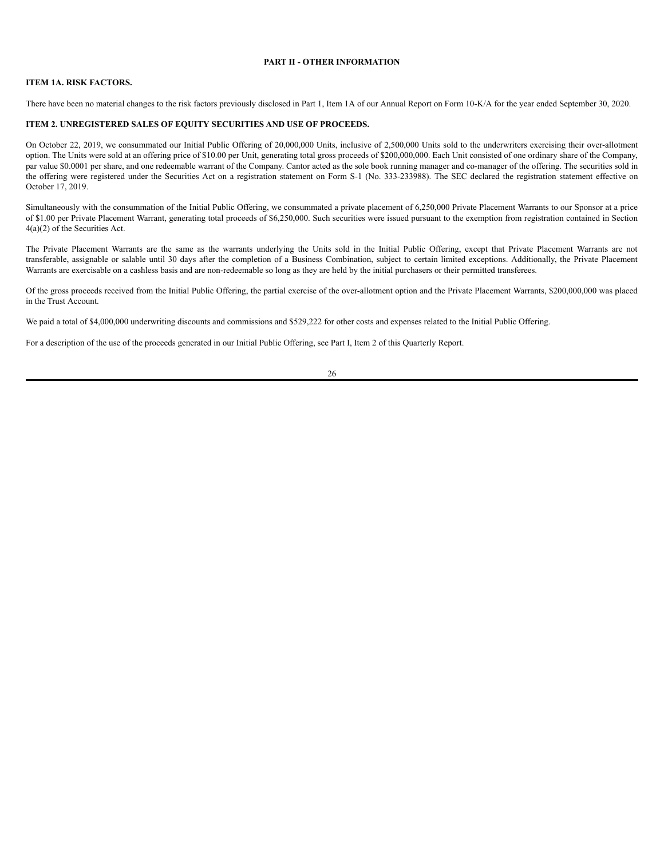# **PART II - OTHER INFORMATION**

# <span id="page-28-1"></span><span id="page-28-0"></span>**ITEM 1A. RISK FACTORS.**

There have been no material changes to the risk factors previously disclosed in Part 1, Item 1A of our Annual Report on Form 10-K/A for the year ended September 30, 2020.

# <span id="page-28-2"></span>**ITEM 2. UNREGISTERED SALES OF EQUITY SECURITIES AND USE OF PROCEEDS.**

On October 22, 2019, we consummated our Initial Public Offering of 20,000,000 Units, inclusive of 2,500,000 Units sold to the underwriters exercising their over-allotment option. The Units were sold at an offering price of \$10.00 per Unit, generating total gross proceeds of \$200,000,000. Each Unit consisted of one ordinary share of the Company, par value \$0.0001 per share, and one redeemable warrant of the Company. Cantor acted as the sole book running manager and co-manager of the offering. The securities sold in the offering were registered under the Securities Act on a registration statement on Form S-1 (No. 333-233988). The SEC declared the registration statement effective on October 17, 2019.

Simultaneously with the consummation of the Initial Public Offering, we consummated a private placement of 6,250,000 Private Placement Warrants to our Sponsor at a price of \$1.00 per Private Placement Warrant, generating total proceeds of \$6,250,000. Such securities were issued pursuant to the exemption from registration contained in Section 4(a)(2) of the Securities Act.

The Private Placement Warrants are the same as the warrants underlying the Units sold in the Initial Public Offering, except that Private Placement Warrants are not transferable, assignable or salable until 30 days after the completion of a Business Combination, subject to certain limited exceptions. Additionally, the Private Placement Warrants are exercisable on a cashless basis and are non-redeemable so long as they are held by the initial purchasers or their permitted transferees.

Of the gross proceeds received from the Initial Public Offering, the partial exercise of the over-allotment option and the Private Placement Warrants, \$200,000,000 was placed in the Trust Account.

We paid a total of \$4,000,000 underwriting discounts and commissions and \$529,222 for other costs and expenses related to the Initial Public Offering.

For a description of the use of the proceeds generated in our Initial Public Offering, see Part I, Item 2 of this Quarterly Report.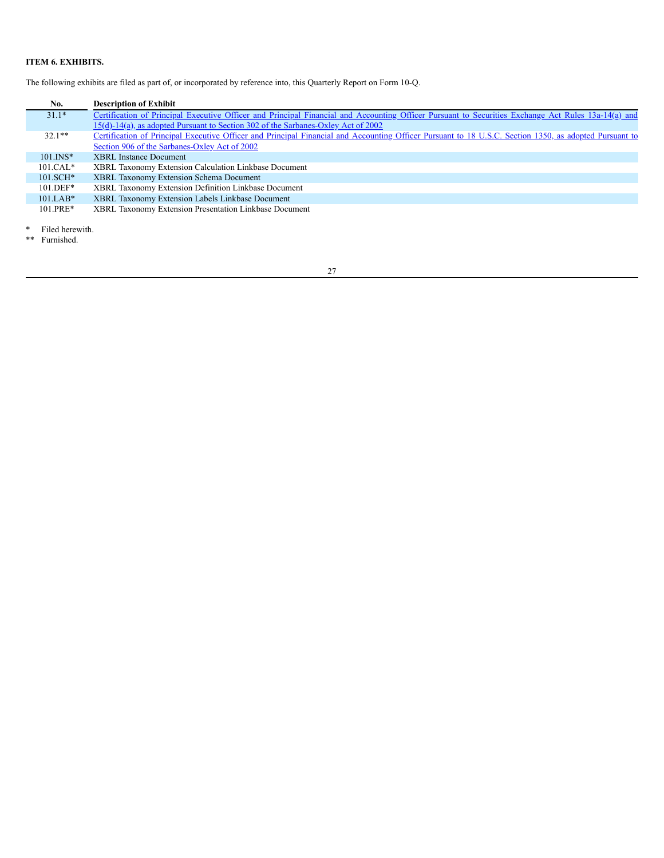# <span id="page-29-0"></span>**ITEM 6. EXHIBITS.**

The following exhibits are filed as part of, or incorporated by reference into, this Quarterly Report on Form 10-Q.

| No.          | <b>Description of Exhibit</b>                                                                                                                          |
|--------------|--------------------------------------------------------------------------------------------------------------------------------------------------------|
| $31.1*$      | Certification of Principal Executive Officer and Principal Financial and Accounting Officer Pursuant to Securities Exchange Act Rules 13a-14(a) and    |
|              | 15(d)-14(a), as adopted Pursuant to Section 302 of the Sarbanes-Oxley Act of 2002                                                                      |
| $32.1**$     | Certification of Principal Executive Officer and Principal Financial and Accounting Officer Pursuant to 18 U.S.C. Section 1350, as adopted Pursuant to |
|              | Section 906 of the Sarbanes-Oxley Act of 2002                                                                                                          |
| $101$ . INS* | <b>XBRL</b> Instance Document                                                                                                                          |
| $101.CAL*$   | XBRL Taxonomy Extension Calculation Linkbase Document                                                                                                  |
| $101.SCH*$   | XBRL Taxonomy Extension Schema Document                                                                                                                |
| $101$ DEF*   | XBRL Taxonomy Extension Definition Linkbase Document                                                                                                   |
| $101.LAB*$   | XBRL Taxonomy Extension Labels Linkbase Document                                                                                                       |
| $101.PRE*$   | XBRL Taxonomy Extension Presentation Linkbase Document                                                                                                 |

\* Filed herewith.

\*\* Furnished.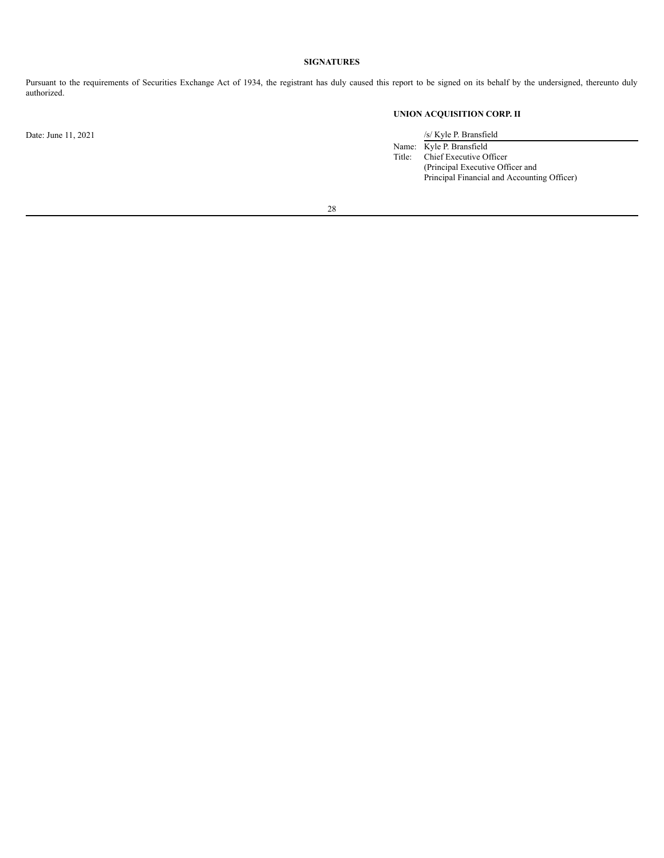# **SIGNATURES**

<span id="page-30-0"></span>Pursuant to the requirements of Securities Exchange Act of 1934, the registrant has duly caused this report to be signed on its behalf by the undersigned, thereunto duly authorized.

# **UNION ACQUISITION CORP. II**

Date: June 11, 2021 /s/ Kyle P. Bransfield

Name: Kyle P. Bransfield Title: Chief Executive Officer (Principal Executive Officer and Principal Financial and Accounting Officer)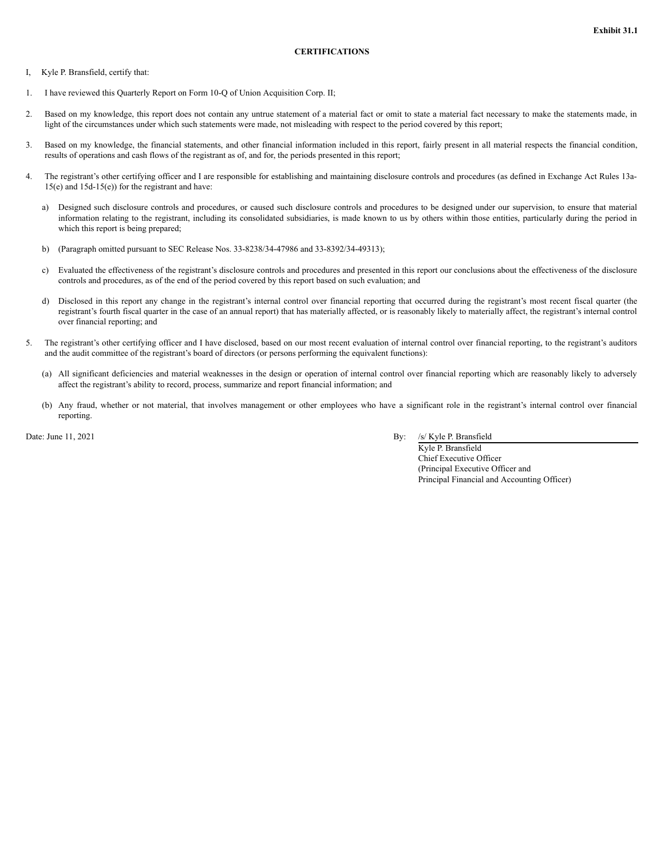### **CERTIFICATIONS**

### I, Kyle P. Bransfield, certify that:

- 1. I have reviewed this Quarterly Report on Form 10-Q of Union Acquisition Corp. II;
- 2. Based on my knowledge, this report does not contain any untrue statement of a material fact or omit to state a material fact necessary to make the statements made, in light of the circumstances under which such statements were made, not misleading with respect to the period covered by this report;
- 3. Based on my knowledge, the financial statements, and other financial information included in this report, fairly present in all material respects the financial condition, results of operations and cash flows of the registrant as of, and for, the periods presented in this report;
- 4. The registrant's other certifying officer and I are responsible for establishing and maintaining disclosure controls and procedures (as defined in Exchange Act Rules 13a-15(e) and 15d-15(e)) for the registrant and have:
	- a) Designed such disclosure controls and procedures, or caused such disclosure controls and procedures to be designed under our supervision, to ensure that material information relating to the registrant, including its consolidated subsidiaries, is made known to us by others within those entities, particularly during the period in which this report is being prepared;
	- b) (Paragraph omitted pursuant to SEC Release Nos. 33-8238/34-47986 and 33-8392/34-49313);
	- c) Evaluated the effectiveness of the registrant's disclosure controls and procedures and presented in this report our conclusions about the effectiveness of the disclosure controls and procedures, as of the end of the period covered by this report based on such evaluation; and
	- d) Disclosed in this report any change in the registrant's internal control over financial reporting that occurred during the registrant's most recent fiscal quarter (the registrant's fourth fiscal quarter in the case of an annual report) that has materially affected, or is reasonably likely to materially affect, the registrant's internal control over financial reporting; and
- 5. The registrant's other certifying officer and I have disclosed, based on our most recent evaluation of internal control over financial reporting, to the registrant's auditors and the audit committee of the registrant's board of directors (or persons performing the equivalent functions):
	- (a) All significant deficiencies and material weaknesses in the design or operation of internal control over financial reporting which are reasonably likely to adversely affect the registrant's ability to record, process, summarize and report financial information; and
	- (b) Any fraud, whether or not material, that involves management or other employees who have a significant role in the registrant's internal control over financial reporting.

Date: June 11, 2021 By: /s/ Kyle P. Bransfield

Kyle P. Bransfield Chief Executive Officer (Principal Executive Officer and Principal Financial and Accounting Officer)